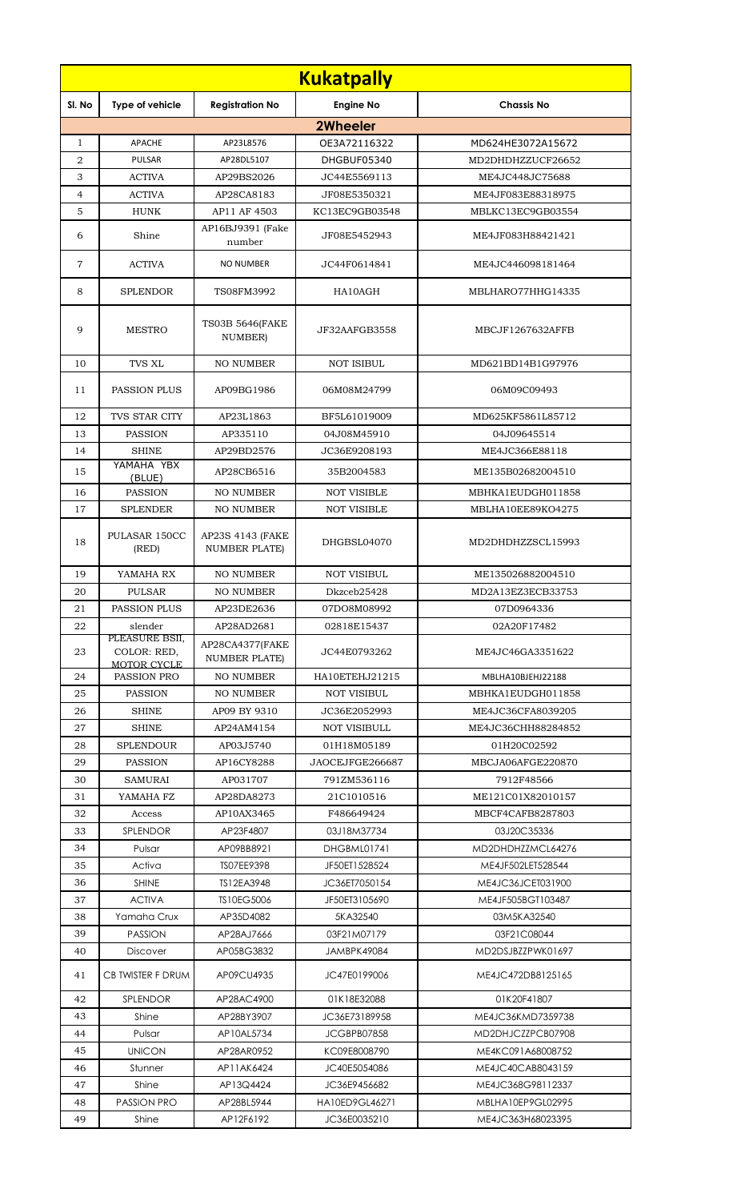|                |                                              |                                          | <b>Kukatpally</b>   |                    |
|----------------|----------------------------------------------|------------------------------------------|---------------------|--------------------|
| SI. No         | Type of vehicle                              | <b>Registration No</b>                   | <b>Engine No</b>    | <b>Chassis No</b>  |
|                |                                              |                                          | <b>2Wheeler</b>     |                    |
| $\mathbf{1}$   | <b>APACHE</b>                                | AP23L8576                                | OE3A72116322        | MD624HE3072A15672  |
| $\overline{2}$ | <b>PULSAR</b>                                | AP28DL5107                               | DHGBUF05340         | MD2DHDHZZUCF26652  |
| 3              | <b>ACTIVA</b>                                | AP29BS2026                               | JC44E5569113        | ME4JC448JC75688    |
| $\overline{4}$ | <b>ACTIVA</b>                                | AP28CA8183                               | JF08E5350321        | ME4JF083E88318975  |
| 5              | <b>HUNK</b>                                  | AP11 AF 4503                             | KC13EC9GB03548      | MBLKC13EC9GB03554  |
| 6              | Shine                                        | AP16BJ9391 (Fake<br>number               | JF08E5452943        | ME4JF083H88421421  |
| $\overline{7}$ | <b>ACTIVA</b>                                | <b>NO NUMBER</b>                         | JC44F0614841        | ME4JC446098181464  |
| 8              | <b>SPLENDOR</b>                              | TS08FM3992                               | HA10AGH             | MBLHARO77HHG14335  |
| 9              | <b>MESTRO</b>                                | <b>TS03B 5646(FAKE</b><br>NUMBER)        | JF32AAFGB3558       | MBCJF1267632AFFB   |
| 10             | TVS XL                                       | <b>NO NUMBER</b>                         | <b>NOT ISIBUL</b>   | MD621BD14B1G97976  |
| 11             | <b>PASSION PLUS</b>                          | AP09BG1986                               | 06M08M24799         | 06M09C09493        |
| 12             | TVS STAR CITY                                | AP23L1863                                | BF5L61019009        | MD625KF5861L85712  |
| 13             | <b>PASSION</b>                               | AP335110                                 | 04J08M45910         | 04J09645514        |
| 14             | <b>SHINE</b>                                 | AP29BD2576                               | JC36E9208193        | ME4JC366E88118     |
| 15             | YAMAHA YBX                                   | AP28CB6516                               | 35B2004583          | ME135B02682004510  |
| 16             | (BLUE)<br><b>PASSION</b>                     | <b>NO NUMBER</b>                         | <b>NOT VISIBLE</b>  | MBHKA1EUDGH011858  |
| 17             | <b>SPLENDER</b>                              | <b>NO NUMBER</b>                         | <b>NOT VISIBLE</b>  | MBLHA10EE89KO4275  |
| 18             | PULASAR 150CC<br>(RED)                       | AP23S 4143 (FAKE<br><b>NUMBER PLATE)</b> | DHGBSL04070         | MD2DHDHZZSCL15993  |
| 19             | YAMAHA RX                                    | <b>NO NUMBER</b>                         | <b>NOT VISIBUL</b>  | ME135026882004510  |
| 20             | PULSAR                                       | NO NUMBER                                | Dkzceb25428         | MD2A13EZ3ECB33753  |
| 21             | <b>PASSION PLUS</b>                          | AP23DE2636                               | 07DO8M08992         | 07D0964336         |
| 22             | slender                                      | AP28AD2681                               | 02818E15437         | 02A20F17482        |
| 23             | PLEASURE BSII,<br>COLOR: RED.<br>MOTOR CYCLE | AP28CA4377(FAKE<br><b>NUMBER PLATE)</b>  | JC44E0793262        | ME4JC46GA3351622   |
| 24             | PASSION PRO                                  | <b>NO NUMBER</b>                         | HA10ETEHJ21215      | MBLHA10BJEHJ22188  |
| 25             | <b>PASSION</b>                               | <b>NO NUMBER</b>                         | <b>NOT VISIBUL</b>  | MBHKA1EUDGH011858  |
| 26             | <b>SHINE</b>                                 | AP09 BY 9310                             | JC36E2052993        | ME4JC36CFA8039205  |
| 27             | <b>SHINE</b>                                 | AP24AM4154                               | <b>NOT VISIBULL</b> | ME4JC36CHH88284852 |
| 28             | <b>SPLENDOUR</b>                             | AP03J5740                                | 01H18M05189         | 01H20C02592        |
| 29             | <b>PASSION</b>                               | AP16CY8288                               | JAOCEJFGE266687     | MBCJA06AFGE220870  |
| 30             | <b>SAMURAI</b>                               | AP031707                                 | 791ZM536116         | 7912F48566         |
| 31             | YAMAHA FZ                                    | AP28DA8273                               | 21C1010516          | ME121C01X82010157  |
| 32             | Access                                       | AP10AX3465                               | F486649424          | MBCF4CAFB8287803   |
| 33             | SPLENDOR                                     | AP23F4807                                | 03J18M37734         | 03J20C35336        |
| 34             | Pulsar                                       | AP09BB8921                               | DHGBML01741         | MD2DHDHZZMCL64276  |
| 35             | Activa                                       | TS07EE9398                               | JF50ET1528524       | ME4JF502LET528544  |
| 36             | <b>SHINE</b>                                 | TS12EA3948                               | JC36ET7050154       | ME4JC36JCET031900  |
| 37             | <b>ACTIVA</b>                                | TS10EG5006                               | JF50ET3105690       | ME4JF505BGT103487  |
| 38             | Yamaha Crux                                  | AP35D4082                                | 5KA32540            | 03M5KA32540        |
| 39             | <b>PASSION</b>                               | AP28AJ7666                               | 03F21M07179         | 03F21C08044        |
| 40             | <b>Discover</b>                              | AP05BG3832                               | JAMBPK49084         | MD2DSJBZZPWK01697  |
| 41             | CB TWISTER F DRUM                            | AP09CU4935                               | JC47E0199006        | ME4JC472DB8125165  |
| 42             | SPLENDOR                                     | AP28AC4900                               | 01K18E32088         | 01K20F41807        |
| 43             | Shine                                        | AP28BY3907                               | JC36E73189958       | ME4JC36KMD7359738  |
| 44             | Pulsar                                       | AP10AL5734                               | JCGBPB07858         | MD2DHJCZZPCB07908  |
| 45             | <b>UNICON</b>                                | AP28AR0952                               | KC09E8008790        | ME4KC091A68008752  |
| 46             | Stunner                                      | AP11AK6424                               | JC40E5054086        | ME4JC40CAB8043159  |
| 47             | Shine                                        | AP13Q4424                                | JC36E9456682        | ME4JC368G98112337  |
| 48             | <b>PASSION PRO</b>                           | AP28BL5944                               | HA10ED9GL46271      | MBLHA10EP9GL02995  |
| 49             | Shine                                        | AP12F6192                                | JC36E0035210        | ME4JC363H68023395  |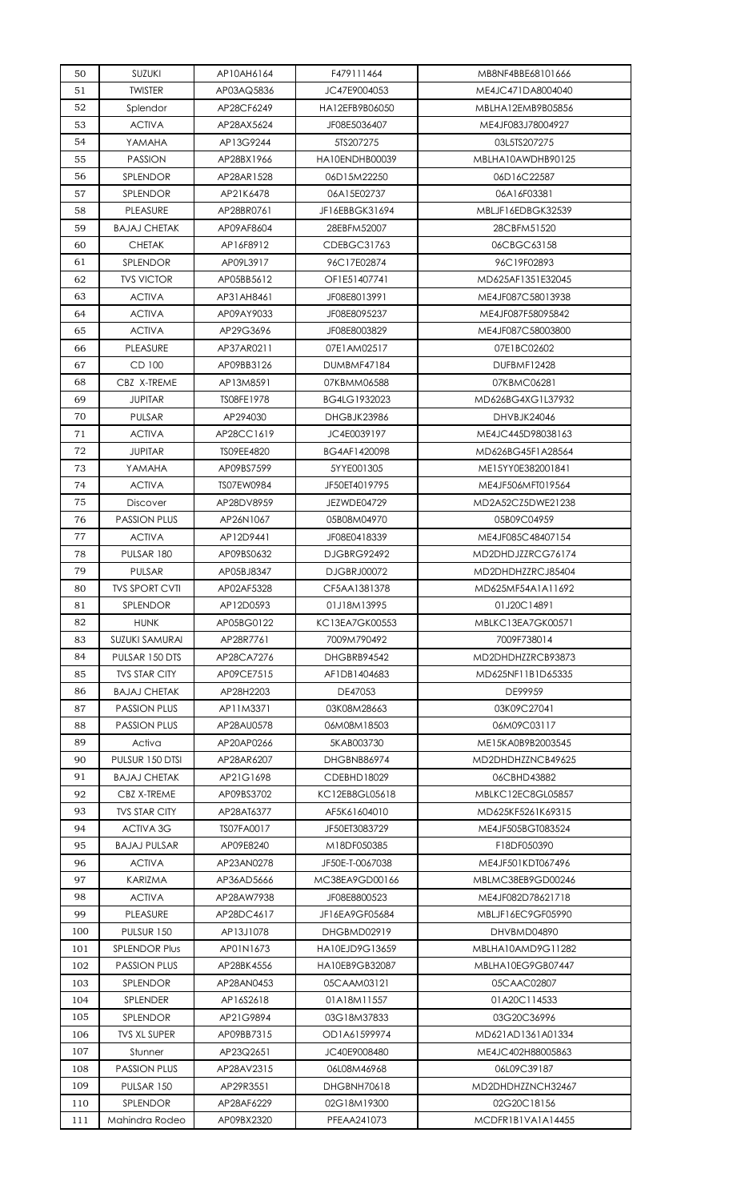| 50  | SUZUKI                | AP10AH6164 | F479111464         | MB8NF4BBE68101666 |
|-----|-----------------------|------------|--------------------|-------------------|
| 51  | <b>TWISTER</b>        | AP03AQ5836 | JC47E9004053       | ME4JC471DA8004040 |
| 52  | Splendor              | AP28CF6249 | HA12EFB9B06050     | MBLHA12EMB9B05856 |
| 53  | <b>ACTIVA</b>         | AP28AX5624 | JF08E5036407       | ME4JF083J78004927 |
| 54  | YAMAHA                | AP13G9244  | 5TS207275          | 03L5TS207275      |
| 55  | <b>PASSION</b>        | AP28BX1966 | HA10ENDHB00039     | MBLHA10AWDHB90125 |
| 56  | SPLENDOR              | AP28AR1528 | 06D15M22250        | 06D16C22587       |
| 57  | <b>SPLENDOR</b>       | AP21K6478  | 06A15E02737        | 06A16F03381       |
| 58  | PLEASURE              | AP28BR0761 | JF16EBBGK31694     | MBLJF16EDBGK32539 |
| 59  | <b>BAJAJ CHETAK</b>   | AP09AF8604 | 28EBFM52007        | 28CBFM51520       |
| 60  | <b>CHETAK</b>         | AP16F8912  | CDEBGC31763        | 06CBGC63158       |
| 61  | SPLENDOR              | AP09L3917  | 96C17E02874        | 96C19F02893       |
| 62  | <b>TVS VICTOR</b>     | AP05BB5612 | OF1E51407741       | MD625AF1351E32045 |
| 63  | <b>ACTIVA</b>         | AP31AH8461 | JF08E8013991       | ME4JF087C58013938 |
| 64  | <b>ACTIVA</b>         | AP09AY9033 | JF08E8095237       | ME4JF087F58095842 |
|     |                       |            |                    |                   |
| 65  | <b>ACTIVA</b>         | AP29G3696  | JF08E8003829       | ME4JF087C58003800 |
| 66  | PLEASURE              | AP37AR0211 | 07E1AM02517        | 07E1BC02602       |
| 67  | CD 100                | AP09BB3126 | DUMBMF47184        | DUFBMF12428       |
| 68  | CBZ X-TREME           | AP13M8591  | 07KBMM06588        | 07KBMC06281       |
| 69  | <b>JUPITAR</b>        | TS08FE1978 | BG4LG1932023       | MD626BG4XG1L37932 |
| 70  | PULSAR                | AP294030   | DHGBJK23986        | DHVBJK24046       |
| 71  | <b>ACTIVA</b>         | AP28CC1619 | JC4E0039197        | ME4JC445D98038163 |
| 72  | <b>JUPITAR</b>        | TS09EE4820 | BG4AF1420098       | MD626BG45F1A28564 |
| 73  | YAMAHA                | AP09BS7599 | 5YYE001305         | ME15YY0E382001841 |
| 74  | <b>ACTIVA</b>         | TS07EW0984 | JF50ET4019795      | ME4JF506MFT019564 |
| 75  | <b>Discover</b>       | AP28DV8959 | JEZWDE04729        | MD2A52CZ5DWE21238 |
| 76  | <b>PASSION PLUS</b>   | AP26N1067  | 05B08M04970        | 05B09C04959       |
| 77  | <b>ACTIVA</b>         | AP12D9441  | JF08E0418339       | ME4JF085C48407154 |
| 78  | PULSAR 180            | AP09BS0632 | DJGBRG92492        | MD2DHDJZZRCG76174 |
| 79  | PULSAR                | AP05BJ8347 | <b>DJGBRJ00072</b> | MD2DHDHZZRCJ85404 |
| 80  | <b>TVS SPORT CVTI</b> | AP02AF5328 | CF5AA1381378       | MD625MF54A1A11692 |
| 81  | SPLENDOR              | AP12D0593  | 01J18M13995        | 01J20C14891       |
| 82  | <b>HUNK</b>           | AP05BG0122 | KC13EA7GK00553     | MBLKC13EA7GK00571 |
| 83  | <b>SUZUKI SAMURAI</b> | AP28R7761  | 7009M790492        | 7009F738014       |
| 84  | PULSAR 150 DTS        | AP28CA7276 | DHGBRB94542        | MD2DHDHZZRCB93873 |
|     | <b>TVS STAR CITY</b>  | AP09CE7515 |                    |                   |
| 85  |                       |            | AF1DB1404683       | MD625NF11B1D65335 |
| 86  | <b>BAJAJ CHETAK</b>   | AP28H2203  | DE47053            | DE99959           |
| 87  | <b>PASSION PLUS</b>   | AP11M3371  | 03K08M28663        | 03K09C27041       |
| 88  | <b>PASSION PLUS</b>   | AP28AU0578 | 06M08M18503        | 06M09C03117       |
| 89  | Activa                | AP20AP0266 | 5KAB003730         | ME15KA0B9B2003545 |
| 90  | PULSUR 150 DTSI       | AP28AR6207 | DHGBNB86974        | MD2DHDHZZNCB49625 |
| 91  | <b>BAJAJ CHETAK</b>   | AP21G1698  | CDEBHD18029        | 06CBHD43882       |
| 92  | CBZ X-TREME           | AP09BS3702 | KC12EB8GL05618     | MBLKC12EC8GL05857 |
| 93  | <b>TVS STAR CITY</b>  | AP28AT6377 | AF5K61604010       | MD625KF5261K69315 |
| 94  | <b>ACTIVA 3G</b>      | TS07FA0017 | JF50ET3083729      | ME4JF505BGT083524 |
| 95  | <b>BAJAJ PULSAR</b>   | AP09E8240  | M18DF050385        | F18DF050390       |
| 96  | <b>ACTIVA</b>         | AP23AN0278 | JF50E-T-0067038    | ME4JF501KDT067496 |
| 97  | <b>KARIZMA</b>        | AP36AD5666 | MC38EA9GD00166     | MBLMC38EB9GD00246 |
| 98  | <b>ACTIVA</b>         | AP28AW7938 | JF08E8800523       | ME4JF082D78621718 |
| 99  | PLEASURE              | AP28DC4617 | JF16EA9GF05684     | MBLJF16EC9GF05990 |
| 100 | <b>PULSUR 150</b>     | AP13J1078  | DHGBMD02919        | DHVBMD04890       |
| 101 | <b>SPLENDOR Plus</b>  | AP01N1673  | HA10EJD9G13659     | MBLHA10AMD9G11282 |
| 102 | <b>PASSION PLUS</b>   | AP28BK4556 | HA10EB9GB32087     | MBLHA10EG9GB07447 |
| 103 | <b>SPLENDOR</b>       | AP28AN0453 | 05CAAM03121        | 05CAAC02807       |
| 104 | SPLENDER              | AP16S2618  | 01A18M11557        | 01A20C114533      |
|     |                       |            |                    |                   |
| 105 | <b>SPLENDOR</b>       | AP21G9894  | 03G18M37833        | 03G20C36996       |
| 106 | <b>TVS XL SUPER</b>   | AP09BB7315 | OD1A61599974       | MD621AD1361A01334 |
| 107 | Stunner               | AP23Q2651  | JC40E9008480       | ME4JC402H88005863 |
| 108 | <b>PASSION PLUS</b>   | AP28AV2315 | 06L08M46968        | 06L09C39187       |
|     | PULSAR 150            | AP29R3551  | <b>DHGBNH70618</b> | MD2DHDHZZNCH32467 |
| 109 | <b>SPLENDOR</b>       | AP28AF6229 | 02G18M19300        |                   |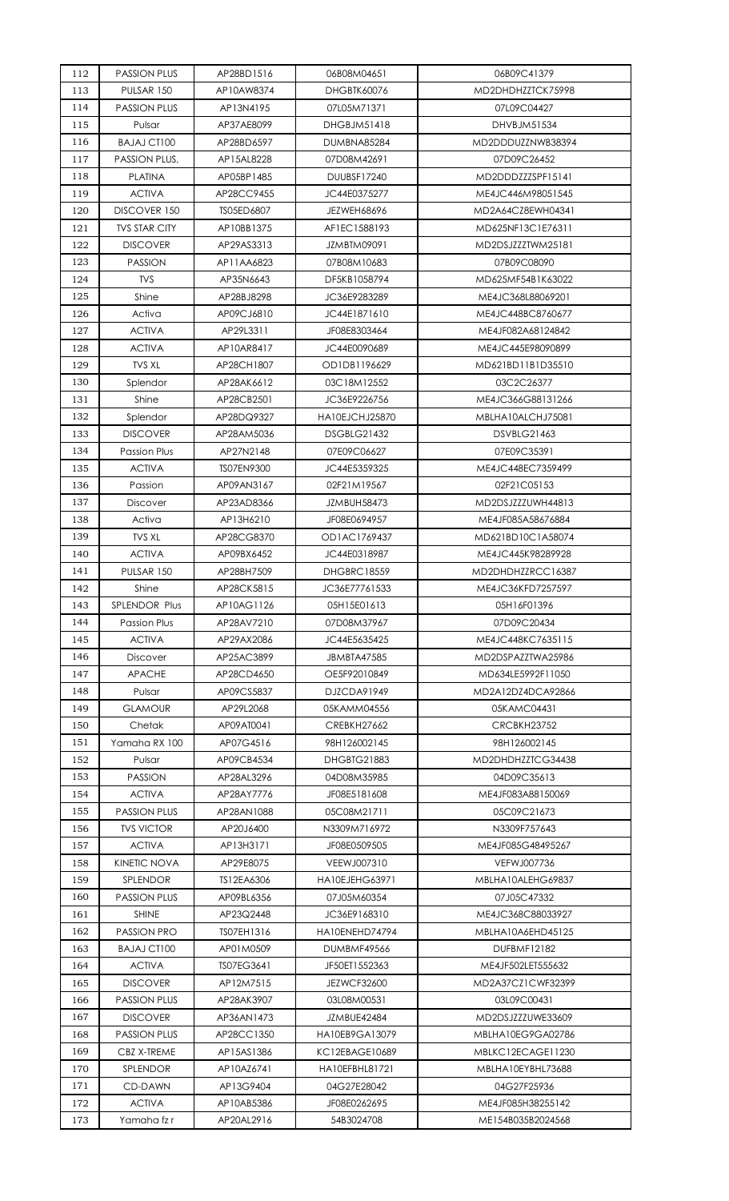| 112 | <b>PASSION PLUS</b>  | AP28BD1516 | 06B08M04651        | 06B09C41379        |
|-----|----------------------|------------|--------------------|--------------------|
| 113 | PULSAR 150           | AP10AW8374 | <b>DHGBTK60076</b> | MD2DHDHZZTCK75998  |
| 114 | <b>PASSION PLUS</b>  | AP13N4195  | 07L05M71371        | 07L09C04427        |
| 115 | Pulsar               | AP37AE8099 | <b>DHGBJM51418</b> | DHVBJM51534        |
| 116 | <b>BAJAJ CT100</b>   | AP28BD6597 | DUMBNA85284        | MD2DDDUZZNWB38394  |
| 117 | PASSION PLUS,        | AP15AL8228 | 07D08M42691        | 07D09C26452        |
| 118 | <b>PLATINA</b>       | AP05BP1485 | DUUBSF17240        | MD2DDDZZZSPF15141  |
| 119 | <b>ACTIVA</b>        | AP28CC9455 | JC44E0375277       | ME4JC446M98051545  |
| 120 | DISCOVER 150         | TS05ED6807 | JEZWEH68696        | MD2A64CZ8EWH04341  |
| 121 | <b>TVS STAR CITY</b> | AP10BB1375 | AF1EC1588193       | MD625NF13C1E76311  |
| 122 | <b>DISCOVER</b>      | AP29AS3313 | JZMBTM09091        | MD2DSJZZZTWM25181  |
| 123 | <b>PASSION</b>       | AP11AA6823 | 07B08M10683        | 07B09C08090        |
| 124 | <b>TVS</b>           | AP35N6643  | DF5KB1058794       | MD625MF54B1K63022  |
| 125 | Shine                | AP28BJ8298 | JC36E9283289       | ME4JC368L88069201  |
| 126 | Activa               | AP09CJ6810 | JC44E1871610       | ME4JC448BC8760677  |
| 127 | <b>ACTIVA</b>        | AP29L3311  | JF08E8303464       | ME4JF082A68124842  |
| 128 | <b>ACTIVA</b>        | AP10AR8417 | JC44E0090689       | ME4JC445E98090899  |
| 129 | <b>TVS XL</b>        | AP28CH1807 | OD1DB1196629       | MD621BD11B1D35510  |
| 130 | Splendor             | AP28AK6612 | 03C18M12552        | 03C2C26377         |
| 131 | Shine                | AP28CB2501 | JC36E9226756       | ME4JC366G88131266  |
| 132 | Splendor             | AP28DQ9327 | HA10EJCHJ25870     | MBLHA10ALCHJ75081  |
| 133 | <b>DISCOVER</b>      | AP28AM5036 | <b>DSGBLG21432</b> | <b>DSVBLG21463</b> |
| 134 | Passion Plus         | AP27N2148  | 07E09C06627        | 07E09C35391        |
| 135 | <b>ACTIVA</b>        | TS07EN9300 | JC44E5359325       | ME4JC448EC7359499  |
| 136 | Passion              | AP09AN3167 | 02F21M19567        | 02F21C05153        |
| 137 | Discover             | AP23AD8366 | JZMBUH58473        | MD2DSJZZZUWH44813  |
| 138 | Activa               | AP13H6210  | JF08E0694957       | ME4JF085A58676884  |
| 139 | <b>TVS XL</b>        | AP28CG8370 | OD1AC1769437       | MD621BD10C1A58074  |
| 140 | <b>ACTIVA</b>        | AP09BX6452 | JC44E0318987       | ME4JC445K98289928  |
| 141 | PULSAR 150           | AP28BH7509 | DHGBRC18559        | MD2DHDHZZRCC16387  |
| 142 | Shine                | AP28CK5815 | JC36E77761533      | ME4JC36KFD7257597  |
| 143 | SPLENDOR Plus        | AP10AG1126 | 05H15E01613        | 05H16F01396        |
| 144 | Passion Plus         | AP28AV7210 | 07D08M37967        | 07D09C20434        |
| 145 | <b>ACTIVA</b>        | AP29AX2086 | JC44E5635425       | ME4JC448KC7635115  |
| 146 | <b>Discover</b>      | AP25AC3899 | JBMBTA47585        | MD2DSPAZZTWA25986  |
| 147 | <b>APACHE</b>        | AP28CD4650 | OE5F92010849       | MD634LE5992F11050  |
| 148 | Pulsar               | AP09CS5837 | D.IZCDA91949       | MD2A12DZ4DCA92866  |
| 149 | <b>GLAMOUR</b>       | AP29L2068  | 05KAMM04556        | 05KAMC04431        |
| 150 | Chetak               | AP09AT0041 | CREBKH27662        | <b>CRCBKH23752</b> |
| 151 | Yamaha RX 100        | AP07G4516  | 98H126002145       | 98H126002145       |
| 152 | Pulsar               | AP09CB4534 | DHGBTG21883        | MD2DHDHZZTCG34438  |
| 153 | <b>PASSION</b>       | AP28AL3296 | 04D08M35985        | 04D09C35613        |
| 154 | <b>ACTIVA</b>        | AP28AY7776 | JF08E5181608       | ME4JF083A88150069  |
| 155 | <b>PASSION PLUS</b>  | AP28AN1088 | 05C08M21711        | 05C09C21673        |
| 156 | <b>TVS VICTOR</b>    | AP20J6400  | N3309M716972       | N3309F757643       |
| 157 | <b>ACTIVA</b>        | AP13H3171  | JF08E0509505       | ME4JF085G48495267  |
| 158 | KINETIC NOVA         | AP29E8075  | VEEWJ007310        | VEFWJ007736        |
| 159 | SPLENDOR             | TS12EA6306 | HA10EJEHG63971     | MBLHA10ALEHG69837  |
| 160 | <b>PASSION PLUS</b>  | AP09BL6356 | 07J05M60354        | 07J05C47332        |
| 161 | <b>SHINE</b>         | AP23Q2448  | JC36E9168310       | ME4JC368C88033927  |
| 162 | <b>PASSION PRO</b>   | TS07EH1316 | HA10ENEHD74794     | MBLHA10A6EHD45125  |
| 163 | <b>BAJAJ CT100</b>   | AP01M0509  | DUMBMF49566        | DUFBMF12182        |
| 164 | <b>ACTIVA</b>        | TS07EG3641 | JF50ET1552363      | ME4JF502LET555632  |
| 165 | <b>DISCOVER</b>      | AP12M7515  | <b>JEZWCF32600</b> | MD2A37CZ1CWF32399  |
| 166 | <b>PASSION PLUS</b>  | AP28AK3907 | 03L08M00531        | 03L09C00431        |
| 167 | <b>DISCOVER</b>      | AP36AN1473 | JZMBUE42484        | MD2DSJZZZUWE33609  |
| 168 | <b>PASSION PLUS</b>  | AP28CC1350 | HA10EB9GA13079     | MBLHA10EG9GA02786  |
| 169 | CBZ X-TREME          | AP15AS1386 | KC12EBAGE10689     | MBLKC12ECAGE11230  |
| 170 | <b>SPLENDOR</b>      | AP10AZ6741 | HA10EFBHL81721     | MBLHA10EYBHL73688  |
| 171 | CD-DAWN              | AP13G9404  | 04G27E28042        | 04G27F25936        |
| 172 | <b>ACTIVA</b>        | AP10AB5386 | JF08E0262695       | ME4JF085H38255142  |
| 173 | Yamaha fz r          | AP20AL2916 | 54B3024708         | ME154B035B2024568  |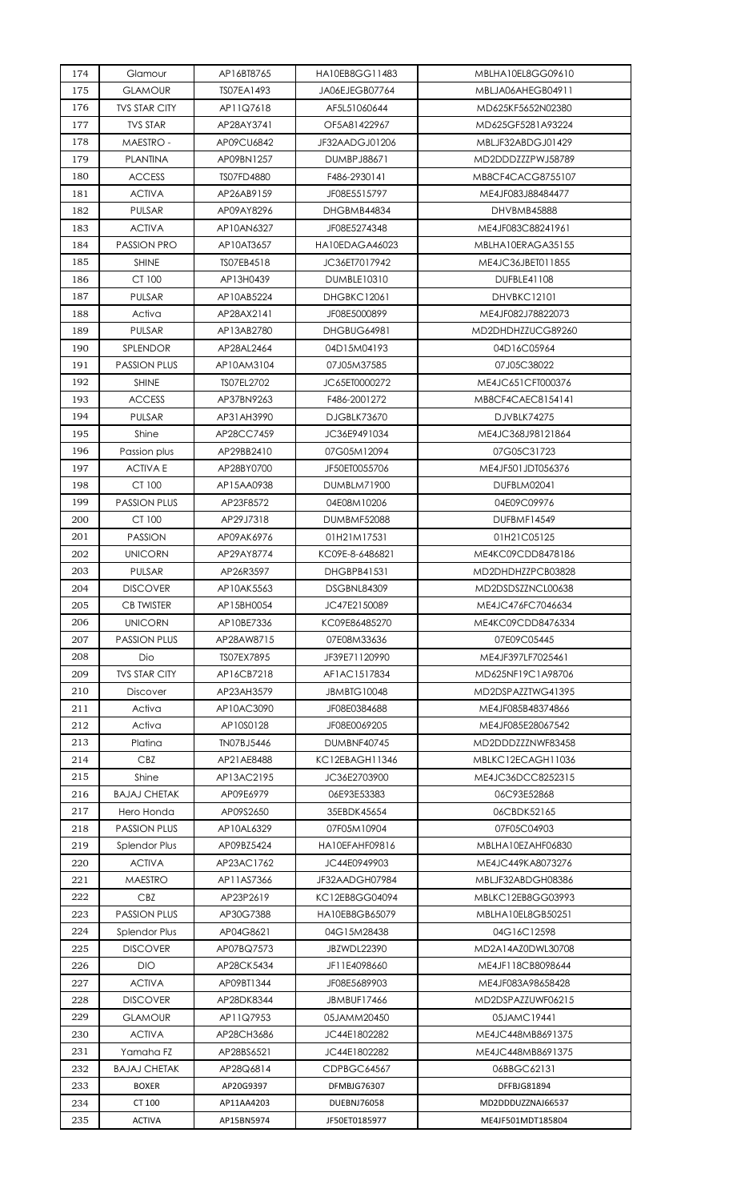| 174 | Glamour              | AP16BT8765 | HA10EB8GG11483     | MBLHA10EL8GG09610  |
|-----|----------------------|------------|--------------------|--------------------|
| 175 | <b>GLAMOUR</b>       | TS07EA1493 | JA06EJEGB07764     | MBLJA06AHEGB04911  |
| 176 | <b>TVS STAR CITY</b> | AP11Q7618  | AF5L51060644       | MD625KF5652N02380  |
| 177 | <b>TVS STAR</b>      | AP28AY3741 | OF5A81422967       | MD625GF5281A93224  |
| 178 | <b>MAESTRO -</b>     | AP09CU6842 | JF32AADGJ01206     | MBLJF32ABDGJ01429  |
| 179 | <b>PLANTINA</b>      | AP09BN1257 | DUMBPJ88671        | MD2DDDZZZPWJ58789  |
| 180 | <b>ACCESS</b>        | TS07FD4880 | F486-2930141       | MB8CF4CACG8755107  |
| 181 | <b>ACTIVA</b>        | AP26AB9159 | JF08E5515797       | ME4JF083J88484477  |
| 182 | <b>PULSAR</b>        | AP09AY8296 | DHGBMB44834        | DHVBMB45888        |
| 183 | <b>ACTIVA</b>        | AP10AN6327 | JF08E5274348       | ME4JF083C88241961  |
| 184 | <b>PASSION PRO</b>   | AP10AT3657 | HA10EDAGA46023     | MBLHA10ERAGA35155  |
| 185 | <b>SHINE</b>         | TS07EB4518 | JC36ET7017942      | ME4JC36JBET011855  |
| 186 | CT 100               | AP13H0439  | DUMBLE10310        | DUFBLE41108        |
| 187 | PULSAR               | AP10AB5224 | DHGBKC12061        | <b>DHVBKC12101</b> |
| 188 | Activa               | AP28AX2141 | JF08E5000899       | ME4JF082J78822073  |
| 189 | PULSAR               | AP13AB2780 | DHGBUG64981        | MD2DHDHZZUCG89260  |
| 190 | <b>SPLENDOR</b>      | AP28AL2464 | 04D15M04193        | 04D16C05964        |
| 191 | <b>PASSION PLUS</b>  | AP10AM3104 | 07J05M37585        | 07J05C38022        |
| 192 | <b>SHINE</b>         | TS07EL2702 | JC65ET0000272      | ME4JC651CFT000376  |
| 193 | <b>ACCESS</b>        | AP37BN9263 | F486-2001272       | MB8CF4CAEC8154141  |
| 194 | PULSAR               | AP31AH3990 | DJGBLK73670        | DJVBLK74275        |
| 195 | Shine                | AP28CC7459 | JC36E9491034       | ME4JC368J98121864  |
| 196 | Passion plus         | AP29BB2410 | 07G05M12094        | 07G05C31723        |
| 197 | <b>ACTIVAE</b>       | AP28BY0700 | JF50ET0055706      | ME4JF501JDT056376  |
| 198 | CT 100               | AP15AA0938 | DUMBLM71900        | DUFBLM02041        |
| 199 | <b>PASSION PLUS</b>  | AP23F8572  | 04E08M10206        | 04E09C09976        |
| 200 | CT 100               | AP29J7318  | DUMBMF52088        | DUFBMF14549        |
| 201 | <b>PASSION</b>       | AP09AK6976 | 01H21M17531        | 01H21C05125        |
| 202 | <b>UNICORN</b>       | AP29AY8774 | KC09E-8-6486821    | ME4KC09CDD8478186  |
| 203 | <b>PULSAR</b>        | AP26R3597  | <b>DHGBPB41531</b> | MD2DHDHZZPCB03828  |
| 204 | <b>DISCOVER</b>      | AP10AK5563 | DSGBNL84309        | MD2DSDSZZNCL00638  |
| 205 | <b>CB TWISTER</b>    | AP15BH0054 | JC47E2150089       | ME4JC476FC7046634  |
| 206 | <b>UNICORN</b>       | AP10BE7336 | KC09E86485270      | ME4KC09CDD8476334  |
| 207 | <b>PASSION PLUS</b>  | AP28AW8715 | 07E08M33636        | 07E09C05445        |
| 208 | Dio                  | TS07EX7895 | JF39E71120990      | ME4JF397LF7025461  |
| 209 | <b>TVS STAR CITY</b> | AP16CB7218 | AF1AC1517834       | MD625NF19C1A98706  |
| 210 | Discover             | AP23AH3579 | <b>JBMBTG10048</b> | MD2DSPAZZTWG41395  |
| 211 | Activa               | AP10AC3090 | JF08E0384688       | ME4JF085B48374866  |
| 212 | Activa               | AP10S0128  | JF08E0069205       | ME4JF085E28067542  |
| 213 | Platina              | TN07BJ5446 | DUMBNF40745        | MD2DDDZZZNWF83458  |
| 214 | CBZ                  | AP21AE8488 | KC12EBAGH11346     | MBLKC12ECAGH11036  |
| 215 | Shine                | AP13AC2195 | JC36E2703900       | ME4JC36DCC8252315  |
| 216 | <b>BAJAJ CHETAK</b>  | AP09E6979  | 06E93E53383        | 06C93E52868        |
| 217 | Hero Honda           | AP09S2650  | 35EBDK45654        | 06CBDK52165        |
| 218 | <b>PASSION PLUS</b>  | AP10AL6329 | 07F05M10904        | 07F05C04903        |
| 219 | Splendor Plus        | AP09BZ5424 | HA10EFAHF09816     | MBLHA10EZAHF06830  |
| 220 | <b>ACTIVA</b>        | AP23AC1762 | JC44E0949903       | ME4JC449KA8073276  |
| 221 | <b>MAESTRO</b>       | AP11AS7366 | JF32AADGH07984     | MBLJF32ABDGH08386  |
| 222 | CBZ                  | AP23P2619  | KC12EB8GG04094     | MBLKC12EB8GG03993  |
| 223 | <b>PASSION PLUS</b>  | AP30G7388  | HA10EB8GB65079     | MBLHA10EL8GB50251  |
| 224 | Splendor Plus        | AP04G8621  | 04G15M28438        | 04G16C12598        |
| 225 | <b>DISCOVER</b>      | AP07BQ7573 | JBZWDL22390        | MD2A14AZ0DWL30708  |
| 226 | <b>DIO</b>           | AP28CK5434 | JF11E4098660       | ME4JF118CB8098644  |
| 227 | <b>ACTIVA</b>        | AP09BT1344 | JF08E5689903       | ME4JF083A98658428  |
| 228 | <b>DISCOVER</b>      | AP28DK8344 | JBMBUF17466        | MD2DSPAZZUWF06215  |
| 229 | <b>GLAMOUR</b>       | AP11Q7953  | 05JAMM20450        | 05JAMC19441        |
| 230 | <b>ACTIVA</b>        | AP28CH3686 | JC44E1802282       | ME4JC448MB8691375  |
| 231 | Yamaha FZ            | AP28BS6521 | JC44E1802282       | ME4JC448MB8691375  |
| 232 | <b>BAJAJ CHETAK</b>  | AP28Q6814  | CDPBGC64567        | 06BBGC62131        |
| 233 | <b>BOXER</b>         | AP20G9397  | DFMBJG76307        | DFFBJG81894        |
| 234 | CT 100               | AP11AA4203 | <b>DUEBNJ76058</b> | MD2DDDUZZNAJ66537  |
| 235 | <b>ACTIVA</b>        | AP15BN5974 | JF50ET0185977      | ME4JF501MDT185804  |
|     |                      |            |                    |                    |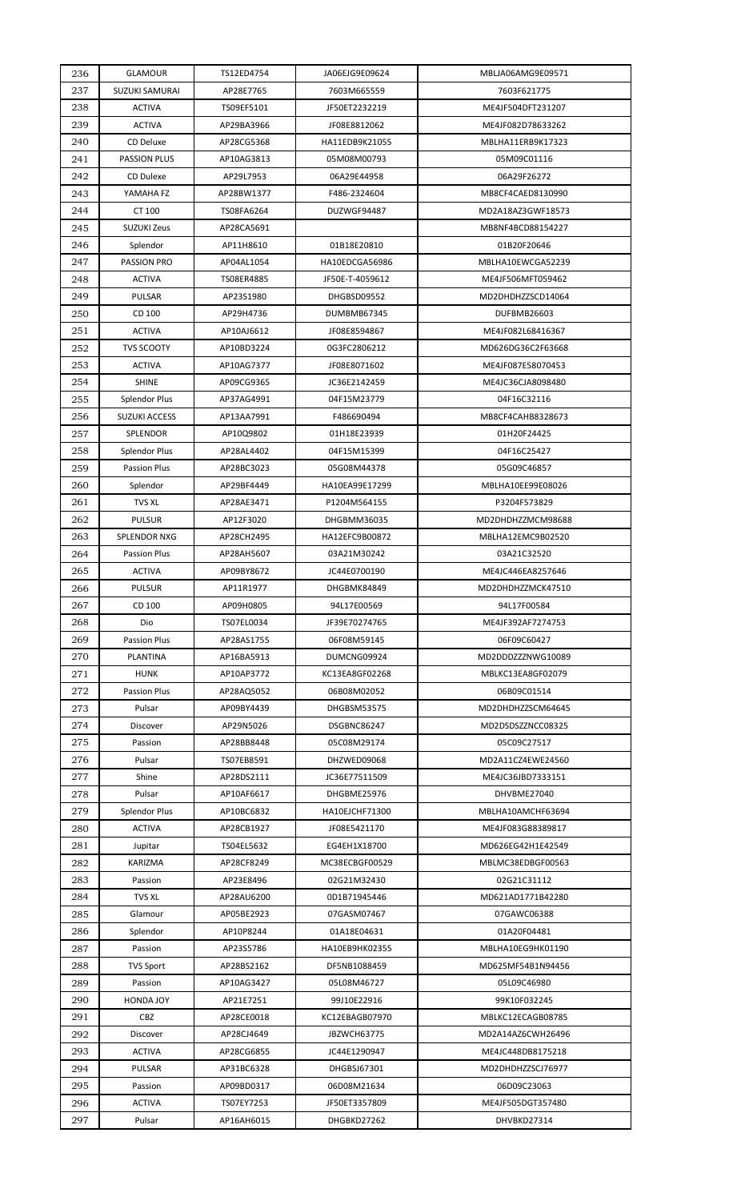| 236 | <b>GLAMOUR</b>        | TS12ED4754 | JA06EJG9E09624              | MBLJA06AMG9E09571 |
|-----|-----------------------|------------|-----------------------------|-------------------|
| 237 | <b>SUZUKI SAMURAI</b> | AP28E7765  | 7603M665559                 | 7603F621775       |
| 238 | <b>ACTIVA</b>         | TS09EF5101 | JF50ET2232219               | ME4JF504DFT231207 |
| 239 | <b>ACTIVA</b>         | AP29BA3966 | JF08E8812062                | ME4JF082D78633262 |
| 240 | CD Deluxe             | AP28CG5368 | HA11EDB9K21055              | MBLHA11ERB9K17323 |
| 241 | <b>PASSION PLUS</b>   | AP10AG3813 | 05M08M00793                 | 05M09C01116       |
| 242 | <b>CD Dulexe</b>      | AP29L7953  | 06A29E44958                 | 06A29F26272       |
| 243 | YAMAHA FZ             | AP28BW1377 | F486-2324604                | MB8CF4CAED8130990 |
| 244 | CT 100                | TS08FA6264 | DUZWGF94487                 | MD2A18AZ3GWF18573 |
| 245 | <b>SUZUKI Zeus</b>    | AP28CA5691 |                             | MB8NF4BCD88154227 |
| 246 | Splendor              | AP11H8610  | 01B18E20810                 | 01B20F20646       |
| 247 | PASSION PRO           | AP04AL1054 | HA10EDCGA56986              | MBLHA10EWCGA52239 |
| 248 | <b>ACTIVA</b>         | TS08ER4885 | JF50E-T-4059612             | ME4JF506MFT059462 |
| 249 | PULSAR                | AP23S1980  | DHGBSD09552                 | MD2DHDHZZSCD14064 |
| 250 | CD 100                | AP29H4736  | DUMBMB67345                 | DUFBMB26603       |
| 251 | <b>ACTIVA</b>         | AP10AJ6612 | JF08E8594867                | ME4JF082L68416367 |
| 252 | <b>TVS SCOOTY</b>     | AP10BD3224 | 0G3FC2806212                | MD626DG36C2F63668 |
| 253 | <b>ACTIVA</b>         | AP10AG7377 | JF08E8071602                | ME4JF087E58070453 |
|     | <b>SHINE</b>          | AP09CG9365 |                             | ME4JC36CJA8098480 |
| 254 |                       | AP37AG4991 | JC36E2142459<br>04F15M23779 |                   |
| 255 | <b>Splendor Plus</b>  |            |                             | 04F16C32116       |
| 256 | <b>SUZUKI ACCESS</b>  | AP13AA7991 | F486690494                  | MB8CF4CAHB8328673 |
| 257 | SPLENDOR              | AP10Q9802  | 01H18E23939                 | 01H20F24425       |
| 258 | <b>Splendor Plus</b>  | AP28AL4402 | 04F15M15399                 | 04F16C25427       |
| 259 | <b>Passion Plus</b>   | AP28BC3023 | 05G08M44378                 | 05G09C46857       |
| 260 | Splendor              | AP29BF4449 | HA10EA99E17299              | MBLHA10EE99E08026 |
| 261 | <b>TVS XL</b>         | AP28AE3471 | P1204M564155                | P3204F573829      |
| 262 | <b>PULSUR</b>         | AP12F3020  | DHGBMM36035                 | MD2DHDHZZMCM98688 |
| 263 | SPLENDOR NXG          | AP28CH2495 | HA12EFC9B00872              | MBLHA12EMC9B02520 |
| 264 | <b>Passion Plus</b>   | AP28AH5607 | 03A21M30242                 | 03A21C32520       |
| 265 | <b>ACTIVA</b>         | AP09BY8672 | JC44E0700190                | ME4JC446EA8257646 |
| 266 | <b>PULSUR</b>         | AP11R1977  | DHGBMK84849                 | MD2DHDHZZMCK47510 |
| 267 | CD 100                | AP09H0805  | 94L17E00569                 | 94L17F00584       |
| 268 | Dio                   | TS07EL0034 | JF39E70274765               | ME4JF392AF7274753 |
| 269 | <b>Passion Plus</b>   | AP28AS1755 | 06F08M59145                 | 06F09C60427       |
| 270 | <b>PLANTINA</b>       | AP16BA5913 | DUMCNG09924                 | MD2DDDZZZNWG10089 |
| 271 | <b>HUNK</b>           | AP10AP3772 | KC13EA8GF02268              | MBLKC13EA8GF02079 |
| 272 | <b>Passion Plus</b>   | AP28AQ5052 | 06B08M02052                 | 06B09C01514       |
| 273 | Pulsar                | AP09BY4439 | DHGBSM53575                 | MD2DHDHZZSCM64645 |
| 274 | Discover              | AP29N5026  | DSGBNC86247                 | MD2DSDSZZNCC08325 |
| 275 | Passion               | AP28BB8448 | 05C08M29174                 | 05C09C27517       |
| 276 | Pulsar                | TS07EB8591 | DHZWED09068                 | MD2A11CZ4EWE24560 |
| 277 | Shine                 | AP28DS2111 | JC36E77511509               | ME4JC36JBD7333151 |
| 278 | Pulsar                | AP10AF6617 | DHGBME25976                 | DHVBME27040       |
| 279 | <b>Splendor Plus</b>  | AP10BC6832 | HA10EJCHF71300              | MBLHA10AMCHF63694 |
| 280 | <b>ACTIVA</b>         | AP28CB1927 | JF08E5421170                | ME4JF083G88389817 |
| 281 | Jupitar               | TS04EL5632 | EG4EH1X18700                | MD626EG42H1E42549 |
| 282 | KARIZMA               | AP28CF8249 | MC38ECBGF00529              | MBLMC38EDBGF00563 |
| 283 | Passion               | AP23E8496  | 02G21M32430                 | 02G21C31112       |
| 284 | <b>TVS XL</b>         | AP28AU6200 | 0D1B71945446                | MD621AD1771B42280 |
| 285 | Glamour               | AP05BE2923 | 07GASM07467                 | 07GAWC06388       |
| 286 | Splendor              | AP10P8244  | 01A18E04631                 | 01A20F04481       |
| 287 | Passion               | AP23S5786  | HA10EB9HK02355              | MBLHA10EG9HK01190 |
|     |                       |            |                             |                   |
| 288 | TVS Sport             | AP28BS2162 | DF5NB1088459                | MD625MF54B1N94456 |
| 289 | Passion               | AP10AG3427 | 05L08M46727                 | 05L09C46980       |
| 290 | HONDA JOY             | AP21E7251  | 99J10E22916                 | 99K10F032245      |
| 291 | CBZ                   | AP28CE0018 | KC12EBAGB07970              | MBLKC12ECAGB08785 |
| 292 | Discover              | AP28CJ4649 | JBZWCH63775                 | MD2A14AZ6CWH26496 |
| 293 | <b>ACTIVA</b>         | AP28CG6855 | JC44E1290947                | ME4JC448DB8175218 |
| 294 | PULSAR                | AP31BC6328 | DHGBSJ67301                 | MD2DHDHZZSCJ76977 |
| 295 | Passion               | AP09BD0317 | 06D08M21634                 | 06D09C23063       |
|     |                       |            |                             |                   |
| 296 | <b>ACTIVA</b>         | TS07EY7253 | JF50ET3357809               | ME4JF505DGT357480 |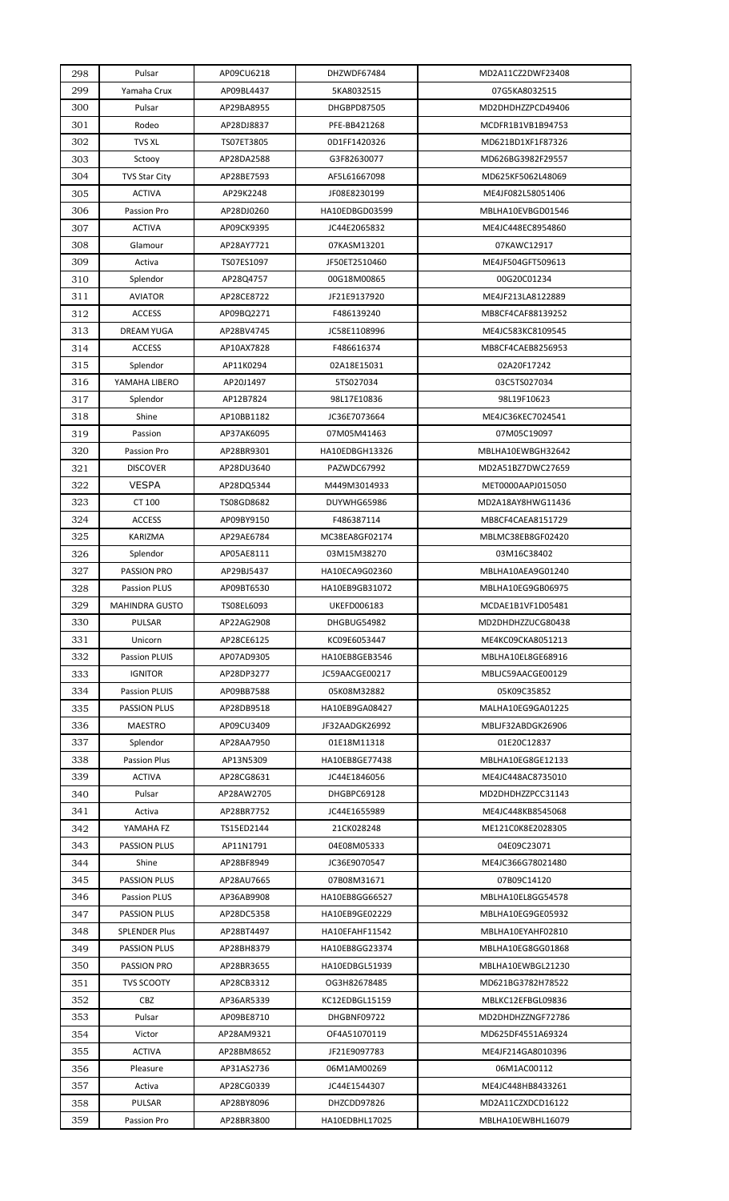| 298 | Pulsar                | AP09CU6218 | DHZWDF67484    | MD2A11CZ2DWF23408 |
|-----|-----------------------|------------|----------------|-------------------|
| 299 | Yamaha Crux           | AP09BL4437 | 5KA8032515     | 07G5KA8032515     |
| 300 | Pulsar                | AP29BA8955 | DHGBPD87505    | MD2DHDHZZPCD49406 |
| 301 | Rodeo                 | AP28DJ8837 | PFE-BB421268   | MCDFR1B1VB1B94753 |
| 302 | <b>TVS XL</b>         | TS07ET3805 | 0D1FF1420326   | MD621BD1XF1F87326 |
| 303 | Sctooy                | AP28DA2588 | G3F82630077    | MD626BG3982F29557 |
| 304 | <b>TVS Star City</b>  | AP28BE7593 | AF5L61667098   | MD625KF5062L48069 |
| 305 | <b>ACTIVA</b>         | AP29K2248  | JF08E8230199   | ME4JF082L58051406 |
| 306 | Passion Pro           | AP28DJ0260 | HA10EDBGD03599 | MBLHA10EVBGD01546 |
| 307 | <b>ACTIVA</b>         | AP09CK9395 | JC44E2065832   | ME4JC448EC8954860 |
| 308 | Glamour               | AP28AY7721 | 07KASM13201    | 07KAWC12917       |
| 309 | Activa                | TS07ES1097 | JF50ET2510460  | ME4JF504GFT509613 |
| 310 | Splendor              | AP28Q4757  | 00G18M00865    | 00G20C01234       |
| 311 | <b>AVIATOR</b>        | AP28CE8722 | JF21E9137920   | ME4JF213LA8122889 |
| 312 | <b>ACCESS</b>         | AP09BQ2271 | F486139240     | MB8CF4CAF88139252 |
| 313 | <b>DREAM YUGA</b>     | AP28BV4745 | JC58E1108996   | ME4JC583KC8109545 |
| 314 | <b>ACCESS</b>         | AP10AX7828 | F486616374     | MB8CF4CAEB8256953 |
| 315 | Splendor              | AP11K0294  | 02A18E15031    | 02A20F17242       |
| 316 | YAMAHA LIBERO         | AP20J1497  | 5TS027034      | 03C5TS027034      |
| 317 | Splendor              | AP12B7824  | 98L17E10836    | 98L19F10623       |
| 318 | Shine                 | AP10BB1182 | JC36E7073664   | ME4JC36KEC7024541 |
| 319 | Passion               | AP37AK6095 | 07M05M41463    | 07M05C19097       |
| 320 | Passion Pro           | AP28BR9301 | HA10EDBGH13326 | MBLHA10EWBGH32642 |
| 321 | <b>DISCOVER</b>       | AP28DU3640 | PAZWDC67992    | MD2A51BZ7DWC27659 |
| 322 | <b>VESPA</b>          | AP28DQ5344 | M449M3014933   | MET0000AAPJ015050 |
| 323 | CT 100                | TS08GD8682 | DUYWHG65986    | MD2A18AY8HWG11436 |
| 324 | <b>ACCESS</b>         | AP09BY9150 | F486387114     | MB8CF4CAEA8151729 |
| 325 | <b>KARIZMA</b>        | AP29AE6784 | MC38EA8GF02174 | MBLMC38EB8GF02420 |
| 326 | Splendor              | AP05AE8111 | 03M15M38270    | 03M16C38402       |
| 327 | PASSION PRO           | AP29BJ5437 | HA10ECA9G02360 | MBLHA10AEA9G01240 |
| 328 | <b>Passion PLUS</b>   | AP09BT6530 | HA10EB9GB31072 | MBLHA10EG9GB06975 |
| 329 | <b>MAHINDRA GUSTO</b> | TS08EL6093 | UKEFD006183    | MCDAE1B1VF1D05481 |
| 330 | PULSAR                | AP22AG2908 | DHGBUG54982    | MD2DHDHZZUCG80438 |
| 331 | Unicorn               | AP28CE6125 | KC09E6053447   | ME4KC09CKA8051213 |
| 332 | Passion PLUIS         | AP07AD9305 | HA10EB8GEB3546 | MBLHA10EL8GE68916 |
| 333 | <b>IGNITOR</b>        | AP28DP3277 | JC59AACGE00217 | MBLJC59AACGE00129 |
| 334 | Passion PLUIS         | AP09BB7588 | 05K08M32882    | 05K09C35852       |
| 335 | <b>PASSION PLUS</b>   | AP28DB9518 | HA10EB9GA08427 | MALHA10EG9GA01225 |
| 336 | <b>MAESTRO</b>        | AP09CU3409 | JF32AADGK26992 | MBLJF32ABDGK26906 |
| 337 | Splendor              | AP28AA7950 | 01E18M11318    | 01E20C12837       |
| 338 | <b>Passion Plus</b>   | AP13N5309  | HA10EB8GE77438 | MBLHA10EG8GE12133 |
| 339 | <b>ACTIVA</b>         | AP28CG8631 | JC44E1846056   | ME4JC448AC8735010 |
| 340 | Pulsar                | AP28AW2705 | DHGBPC69128    | MD2DHDHZZPCC31143 |
| 341 | Activa                | AP28BR7752 | JC44E1655989   | ME4JC448KB8545068 |
| 342 | YAMAHA FZ             | TS15ED2144 | 21CK028248     | ME121C0K8E2028305 |
| 343 | <b>PASSION PLUS</b>   | AP11N1791  | 04E08M05333    | 04E09C23071       |
| 344 | Shine                 | AP28BF8949 | JC36E9070547   | ME4JC366G78021480 |
| 345 | <b>PASSION PLUS</b>   | AP28AU7665 | 07B08M31671    | 07B09C14120       |
| 346 | <b>Passion PLUS</b>   | AP36AB9908 | HA10EB8GG66527 | MBLHA10EL8GG54578 |
| 347 | <b>PASSION PLUS</b>   | AP28DC5358 | HA10EB9GE02229 | MBLHA10EG9GE05932 |
| 348 | <b>SPLENDER Plus</b>  | AP28BT4497 | HA10EFAHF11542 | MBLHA10EYAHF02810 |
| 349 | <b>PASSION PLUS</b>   | AP28BH8379 | HA10EB8GG23374 | MBLHA10EG8GG01868 |
| 350 | <b>PASSION PRO</b>    | AP28BR3655 | HA10EDBGL51939 | MBLHA10EWBGL21230 |
| 351 | <b>TVS SCOOTY</b>     | AP28CB3312 | OG3H82678485   | MD621BG3782H78522 |
| 352 | <b>CBZ</b>            | AP36AR5339 | KC12EDBGL15159 | MBLKC12EFBGL09836 |
| 353 | Pulsar                | AP09BE8710 | DHGBNF09722    | MD2DHDHZZNGF72786 |
| 354 | Victor                | AP28AM9321 | OF4A51070119   | MD625DF4551A69324 |
| 355 | <b>ACTIVA</b>         | AP28BM8652 | JF21E9097783   | ME4JF214GA8010396 |
|     |                       | AP31AS2736 | 06M1AM00269    | 06M1AC00112       |
| 356 | Pleasure              |            |                |                   |
| 357 | Activa                | AP28CG0339 | JC44E1544307   | ME4JC448HB8433261 |
| 358 | <b>PULSAR</b>         | AP28BY8096 | DHZCDD97826    | MD2A11CZXDCD16122 |
| 359 | Passion Pro           | AP28BR3800 | HA10EDBHL17025 | MBLHA10EWBHL16079 |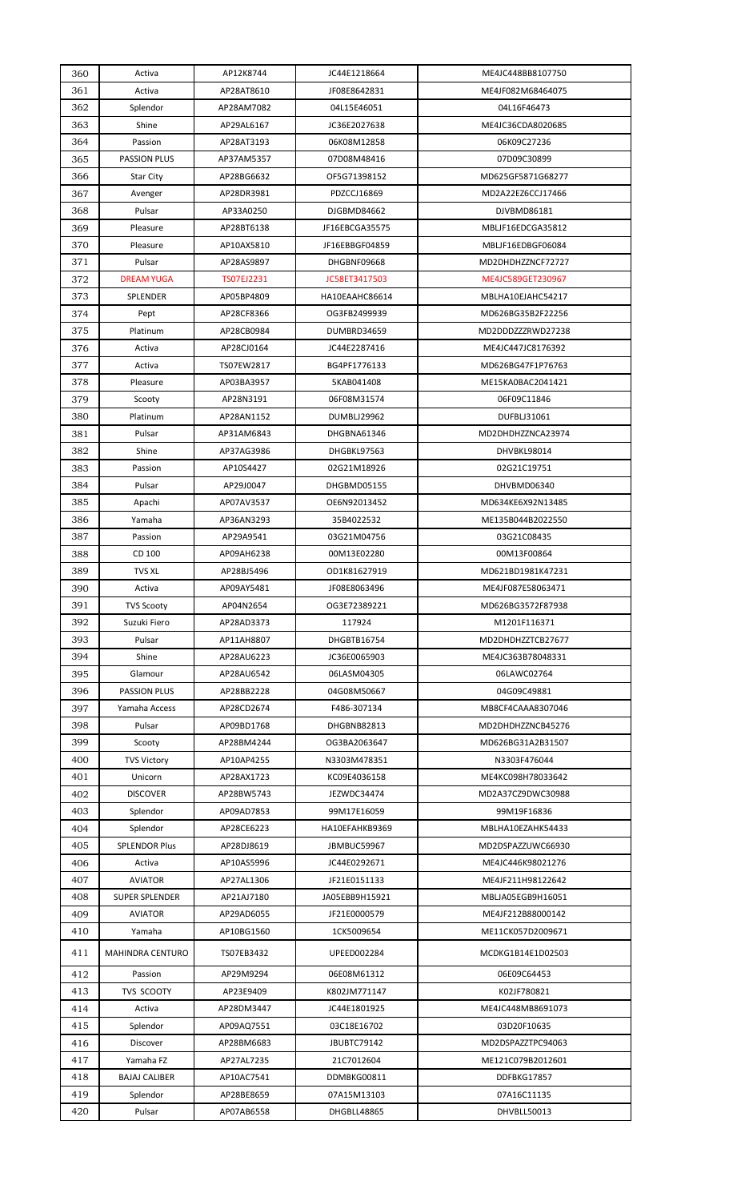| 360 | Activa                | AP12K8744  | JC44E1218664       | ME4JC448BB8107750 |
|-----|-----------------------|------------|--------------------|-------------------|
| 361 | Activa                | AP28AT8610 | JF08E8642831       | ME4JF082M68464075 |
| 362 | Splendor              | AP28AM7082 | 04L15E46051        | 04L16F46473       |
| 363 | Shine                 | AP29AL6167 | JC36E2027638       | ME4JC36CDA8020685 |
| 364 | Passion               | AP28AT3193 | 06K08M12858        | 06K09C27236       |
| 365 | <b>PASSION PLUS</b>   | AP37AM5357 | 07D08M48416        | 07D09C30899       |
| 366 | Star City             | AP28BG6632 | OF5G71398152       | MD625GF5871G68277 |
| 367 | Avenger               | AP28DR3981 | PDZCCJ16869        | MD2A22EZ6CCJ17466 |
| 368 | Pulsar                | AP33A0250  | DJGBMD84662        | DJVBMD86181       |
| 369 | Pleasure              | AP28BT6138 | JF16EBCGA35575     | MBLJF16EDCGA35812 |
| 370 | Pleasure              | AP10AX5810 | JF16EBBGF04859     | MBLJF16EDBGF06084 |
| 371 | Pulsar                | AP28AS9897 | DHGBNF09668        | MD2DHDHZZNCF72727 |
| 372 | <b>DREAM YUGA</b>     | TS07EJ2231 | JC58ET3417503      | ME4JC589GET230967 |
| 373 | SPLENDER              | AP05BP4809 | HA10EAAHC86614     | MBLHA10EJAHC54217 |
| 374 | Pept                  | AP28CF8366 | OG3FB2499939       | MD626BG35B2F22256 |
| 375 | Platinum              | AP28CB0984 | DUMBRD34659        | MD2DDDZZZRWD27238 |
| 376 | Activa                | AP28CJ0164 | JC44E2287416       | ME4JC447JC8176392 |
| 377 | Activa                | TS07EW2817 | BG4PF1776133       | MD626BG47F1P76763 |
| 378 | Pleasure              | AP03BA3957 | 5KAB041408         | ME15KA0BAC2041421 |
| 379 | Scooty                | AP28N3191  | 06F08M31574        | 06F09C11846       |
| 380 | Platinum              | AP28AN1152 | <b>DUMBLJ29962</b> | DUFBLJ31061       |
| 381 | Pulsar                | AP31AM6843 | DHGBNA61346        | MD2DHDHZZNCA23974 |
| 382 | Shine                 | AP37AG3986 | DHGBKL97563        | DHVBKL98014       |
| 383 | Passion               | AP10S4427  | 02G21M18926        | 02G21C19751       |
| 384 | Pulsar                | AP29J0047  | DHGBMD05155        | DHVBMD06340       |
| 385 | Apachi                | AP07AV3537 | OE6N92013452       | MD634KE6X92N13485 |
| 386 | Yamaha                | AP36AN3293 | 35B4022532         | ME135B044B2022550 |
| 387 | Passion               | AP29A9541  | 03G21M04756        | 03G21C08435       |
| 388 | CD 100                | AP09AH6238 | 00M13E02280        | 00M13F00864       |
| 389 | <b>TVS XL</b>         | AP28BJ5496 | OD1K81627919       | MD621BD1981K47231 |
| 390 | Activa                | AP09AY5481 | JF08E8063496       | ME4JF087E58063471 |
| 391 | <b>TVS Scooty</b>     | AP04N2654  | OG3E72389221       | MD626BG3572F87938 |
| 392 | Suzuki Fiero          | AP28AD3373 | 117924             | M1201F116371      |
| 393 | Pulsar                | AP11AH8807 | DHGBTB16754        | MD2DHDHZZTCB27677 |
| 394 | Shine                 | AP28AU6223 | JC36E0065903       | ME4JC363B78048331 |
| 395 | Glamour               | AP28AU6542 | 06LASM04305        | 06LAWC02764       |
| 396 | <b>PASSION PLUS</b>   | AP28BB2228 | 04G08M50667        | 04G09C49881       |
| 397 | Yamaha Access         | AP28CD2674 | F486-307134        | MB8CF4CAAA8307046 |
| 398 | Pulsar                | AP09BD1768 | DHGBNB82813        | MD2DHDHZZNCB45276 |
| 399 | Scooty                | AP28BM4244 | OG3BA2063647       | MD626BG31A2B31507 |
| 400 | <b>TVS Victory</b>    | AP10AP4255 | N3303M478351       | N3303F476044      |
| 401 | Unicorn               | AP28AX1723 | KC09E4036158       | ME4KC098H78033642 |
| 402 | <b>DISCOVER</b>       | AP28BW5743 | JEZWDC34474        | MD2A37CZ9DWC30988 |
| 403 | Splendor              | AP09AD7853 | 99M17E16059        | 99M19F16836       |
| 404 | Splendor              | AP28CE6223 | HA10EFAHKB9369     | MBLHA10EZAHK54433 |
| 405 | <b>SPLENDOR Plus</b>  | AP28DJ8619 | JBMBUC59967        | MD2DSPAZZUWC66930 |
| 406 | Activa                | AP10AS5996 | JC44E0292671       | ME4JC446K98021276 |
| 407 | <b>AVIATOR</b>        | AP27AL1306 | JF21E0151133       | ME4JF211H98122642 |
| 408 | <b>SUPER SPLENDER</b> | AP21AJ7180 | JA05EBB9H15921     | MBLJA05EGB9H16051 |
| 409 | <b>AVIATOR</b>        | AP29AD6055 | JF21E0000579       | ME4JF212B88000142 |
| 410 | Yamaha                | AP10BG1560 | 1CK5009654         | ME11CK057D2009671 |
|     |                       |            |                    |                   |
| 411 | MAHINDRA CENTURO      | TS07EB3432 | UPEED002284        | MCDKG1B14E1D02503 |
| 412 | Passion               | AP29M9294  | 06E08M61312        | 06E09C64453       |
| 413 | <b>TVS SCOOTY</b>     | AP23E9409  | K802JM771147       | K02JF780821       |
| 414 | Activa                | AP28DM3447 | JC44E1801925       | ME4JC448MB8691073 |
| 415 | Splendor              | AP09AQ7551 | 03C18E16702        | 03D20F10635       |
| 416 | <b>Discover</b>       | AP28BM6683 | JBUBTC79142        | MD2DSPAZZTPC94063 |
| 417 | Yamaha FZ             | AP27AL7235 | 21C7012604         | ME121C079B2012601 |
| 418 | <b>BAJAJ CALIBER</b>  | AP10AC7541 | DDMBKG00811        | DDFBKG17857       |
| 419 | Splendor              | AP28BE8659 | 07A15M13103        | 07A16C11135       |
| 420 | Pulsar                | AP07AB6558 | DHGBLL48865        | DHVBLL50013       |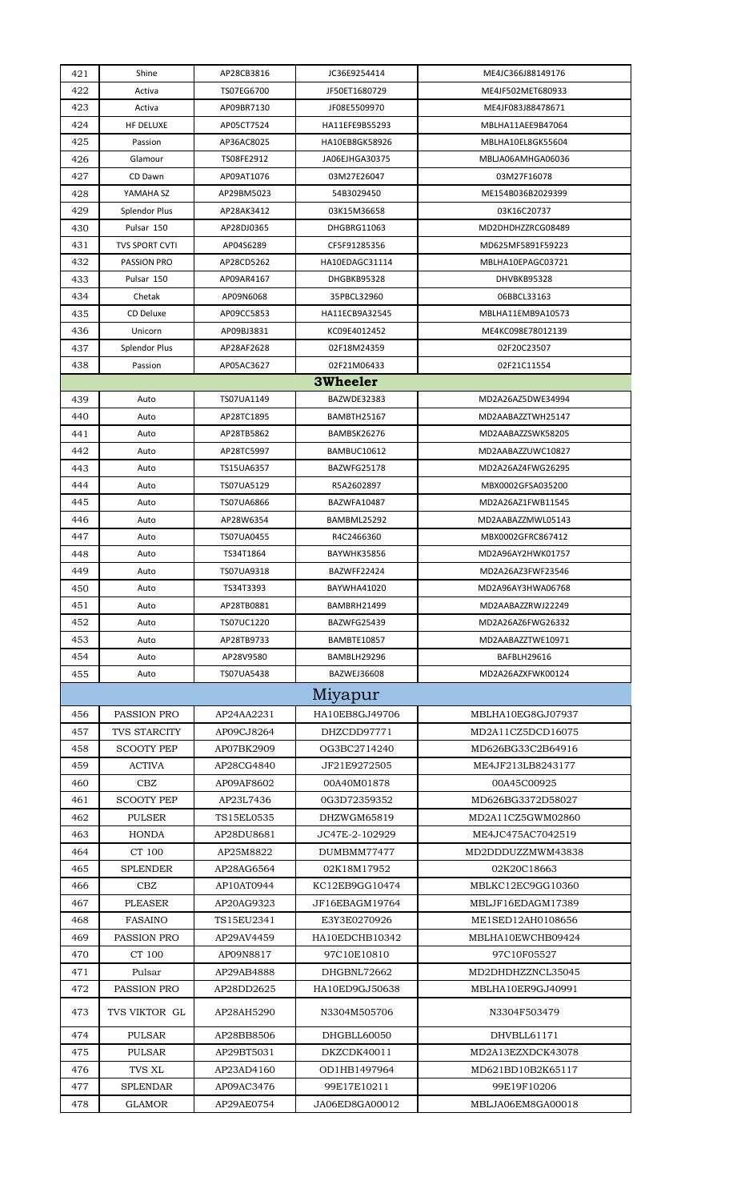| 421        | Shine                 | AP28CB3816              | JC36E9254414                      | ME4JC366J88149176                      |
|------------|-----------------------|-------------------------|-----------------------------------|----------------------------------------|
| 422        | Activa                | TS07EG6700              | JF50ET1680729                     | ME4JF502MET680933                      |
| 423        | Activa                | AP09BR7130              | JF08E5509970                      | ME4JF083J88478671                      |
| 424        | HF DELUXE             | AP05CT7524              | HA11EFE9B55293                    | MBLHA11AEE9B47064                      |
| 425        | Passion               | AP36AC8025              | HA10EB8GK58926                    | MBLHA10EL8GK55604                      |
| 426        | Glamour               | TS08FE2912              | JA06EJHGA30375                    | MBLJA06AMHGA06036                      |
| 427        | CD Dawn               | AP09AT1076              | 03M27E26047                       | 03M27F16078                            |
| 428        | YAMAHA SZ             | AP29BM5023              | 54B3029450                        | ME154B036B2029399                      |
| 429        | <b>Splendor Plus</b>  | AP28AK3412              | 03K15M36658                       | 03K16C20737                            |
| 430        | Pulsar 150            | AP28DJ0365              | DHGBRG11063                       | MD2DHDHZZRCG08489                      |
| 431        | <b>TVS SPORT CVTI</b> | AP04S6289               | CF5F91285356                      | MD625MF5891F59223                      |
| 432        | PASSION PRO           | AP28CD5262              | HA10EDAGC31114                    | MBLHA10EPAGC03721                      |
| 433        | Pulsar 150            | AP09AR4167              | DHGBKB95328                       | DHVBKB95328                            |
| 434        | Chetak                | AP09N6068               | 35PBCL32960                       | 06BBCL33163                            |
| 435        | CD Deluxe             | AP09CC5853              | HA11ECB9A32545                    | MBLHA11EMB9A10573                      |
| 436        | Unicorn               | AP09BJ3831              | KC09E4012452                      | ME4KC098E78012139                      |
| 437        | <b>Splendor Plus</b>  | AP28AF2628              | 02F18M24359                       | 02F20C23507                            |
| 438        | Passion               | AP05AC3627              | 02F21M06433                       | 02F21C11554                            |
|            |                       |                         | <b>3Wheeler</b>                   |                                        |
| 439        | Auto                  | TS07UA1149              | BAZWDE32383                       | MD2A26AZ5DWE34994                      |
| 440        | Auto                  | AP28TC1895              | BAMBTH25167                       | MD2AABAZZTWH25147                      |
| 441        | Auto                  | AP28TB5862              | BAMBSK26276                       | MD2AABAZZSWK58205                      |
| 442        | Auto                  | AP28TC5997              | BAMBUC10612                       | MD2AABAZZUWC10827                      |
| 443        | Auto                  | TS15UA6357              | BAZWFG25178                       | MD2A26AZ4FWG26295                      |
| 444        | Auto                  | TS07UA5129              | R5A2602897                        | MBX0002GFSA035200                      |
| 445        | Auto                  | TS07UA6866              | BAZWFA10487                       | MD2A26AZ1FWB11545                      |
| 446        | Auto                  | AP28W6354               | BAMBML25292                       | MD2AABAZZMWL05143                      |
| 447        | Auto                  | TS07UA0455              | R4C2466360                        | MBX0002GFRC867412                      |
| 448        | Auto                  | TS34T1864<br>TS07UA9318 | <b>BAYWHK35856</b><br>BAZWFF22424 | MD2A96AY2HWK01757<br>MD2A26AZ3FWF23546 |
| 449<br>450 | Auto<br>Auto          | TS34T3393               | BAYWHA41020                       | MD2A96AY3HWA06768                      |
| 451        | Auto                  | AP28TB0881              | BAMBRH21499                       | MD2AABAZZRWJ22249                      |
| 452        | Auto                  | TS07UC1220              | BAZWFG25439                       | MD2A26AZ6FWG26332                      |
| 453        | Auto                  | AP28TB9733              | BAMBTE10857                       | MD2AABAZZTWE10971                      |
| 454        | Auto                  | AP28V9580               | BAMBLH29296                       | BAFBLH29616                            |
| 455        | Auto                  | TS07UA5438              | BAZWEJ36608                       | MD2A26AZXFWK00124                      |
|            |                       |                         | Miyapur                           |                                        |
| 456        | PASSION PRO           | AP24AA2231              | HA10EB8GJ49706                    | MBLHA10EG8GJ07937                      |
| 457        | TVS STARCITY          | AP09CJ8264              | DHZCDD97771                       | MD2A11CZ5DCD16075                      |
| 458        | <b>SCOOTY PEP</b>     | AP07BK2909              | OG3BC2714240                      | MD626BG33C2B64916                      |
| 459        | <b>ACTIVA</b>         | AP28CG4840              | JF21E9272505                      | ME4JF213LB8243177                      |
| 460        | CBZ                   | AP09AF8602              | 00A40M01878                       | 00A45C00925                            |
| 461        | <b>SCOOTY PEP</b>     | AP23L7436               | 0G3D72359352                      | MD626BG3372D58027                      |
| 462        | <b>PULSER</b>         | TS15EL0535              | DHZWGM65819                       | MD2A11CZ5GWM02860                      |
| 463        | <b>HONDA</b>          | AP28DU8681              | JC47E-2-102929                    | ME4JC475AC7042519                      |
| 464        | CT 100                | AP25M8822               | DUMBMM77477                       | MD2DDDUZZMWM43838                      |
| 465        | <b>SPLENDER</b>       | AP28AG6564              | 02K18M17952                       | 02K20C18663                            |
| 466        | CBZ                   | AP10AT0944              | KC12EB9GG10474                    | MBLKC12EC9GG10360                      |
| 467        | <b>PLEASER</b>        | AP20AG9323              | JF16EBAGM19764                    | MBLJF16EDAGM17389                      |
| 468        | <b>FASAINO</b>        | TS15EU2341              | E3Y3E0270926                      | ME1SED12AH0108656                      |
| 469        | PASSION PRO           | AP29AV4459              | HA10EDCHB10342                    | MBLHA10EWCHB09424                      |
| 470        | CT 100                | AP09N8817               | 97C10E10810                       | 97C10F05527                            |
| 471        | Pulsar                | AP29AB4888              | DHGBNL72662                       | MD2DHDHZZNCL35045                      |
| 472        | PASSION PRO           | AP28DD2625              | HA10ED9GJ50638                    | MBLHA10ER9GJ40991                      |
| 473        | TVS VIKTOR GL         | AP28AH5290              | N3304M505706                      | N3304F503479                           |
| 474        | <b>PULSAR</b>         | AP28BB8506              | DHGBLL60050                       | DHVBLL61171                            |
| 475        | <b>PULSAR</b>         | AP29BT5031              | DKZCDK40011                       | MD2A13EZXDCK43078                      |
| 476        | <b>TVS XL</b>         | AP23AD4160              | OD1HB1497964                      | MD621BD10B2K65117                      |
| 477        | <b>SPLENDAR</b>       | AP09AC3476              | 99E17E10211                       | 99E19F10206                            |
| 478        | <b>GLAMOR</b>         | AP29AE0754              | JA06ED8GA00012                    | MBLJA06EM8GA00018                      |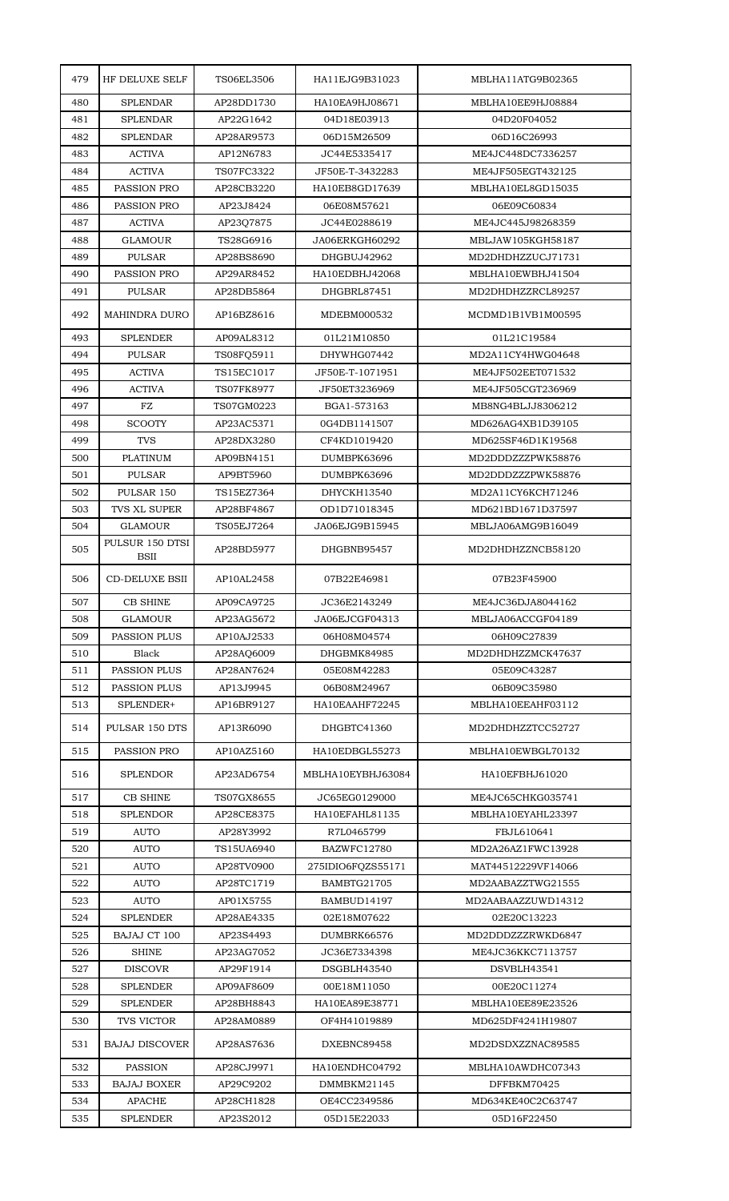| 479        | HF DELUXE SELF                      | <b>TS06EL3506</b>        | HA11EJG9B31023                   | MBLHA11ATG9B02365                      |
|------------|-------------------------------------|--------------------------|----------------------------------|----------------------------------------|
| 480        | <b>SPLENDAR</b>                     | AP28DD1730               | HA10EA9HJ08671                   | MBLHA10EE9HJ08884                      |
| 481        | <b>SPLENDAR</b>                     | AP22G1642                | 04D18E03913                      | 04D20F04052                            |
| 482        | <b>SPLENDAR</b>                     | AP28AR9573               | 06D15M26509                      | 06D16C26993                            |
| 483        | <b>ACTIVA</b>                       | AP12N6783                | JC44E5335417                     | ME4JC448DC7336257                      |
| 484        | <b>ACTIVA</b>                       | TS07FC3322               | JF50E-T-3432283                  | ME4JF505EGT432125                      |
| 485        | PASSION PRO                         | AP28CB3220               | HA10EB8GD17639                   | MBLHA10EL8GD15035                      |
| 486        | PASSION PRO                         | AP23J8424                | 06E08M57621                      | 06E09C60834                            |
| 487        | <b>ACTIVA</b>                       | AP23Q7875                | JC44E0288619                     | ME4JC445J98268359                      |
| 488        | <b>GLAMOUR</b>                      | TS28G6916                | JA06ERKGH60292                   | MBLJAW105KGH58187                      |
| 489        | <b>PULSAR</b>                       | AP28BS8690               | DHGBUJ42962                      | MD2DHDHZZUCJ71731                      |
| 490        | PASSION PRO                         | AP29AR8452               | HA10EDBHJ42068                   | MBLHA10EWBHJ41504                      |
| 491        | <b>PULSAR</b>                       | AP28DB5864               | DHGBRL87451                      | MD2DHDHZZRCL89257                      |
| 492        | <b>MAHINDRA DURO</b>                | AP16BZ8616               | MDEBM000532                      | MCDMD1B1VB1M00595                      |
| 493        | <b>SPLENDER</b>                     | AP09AL8312               | 01L21M10850                      | 01L21C19584                            |
| 494        | <b>PULSAR</b>                       | TS08FQ5911               | DHYWHG07442                      | MD2A11CY4HWG04648                      |
| 495        | <b>ACTIVA</b>                       | TS15EC1017               | JF50E-T-1071951                  | ME4JF502EET071532                      |
| 496        | <b>ACTIVA</b>                       | <b>TS07FK8977</b>        | JF50ET3236969                    | ME4JF505CGT236969                      |
| 497        | FZ                                  | TS07GM0223               | BGA1-573163                      | MB8NG4BLJJ8306212                      |
| 498        | <b>SCOOTY</b>                       | AP23AC5371               | 0G4DB1141507                     | MD626AG4XB1D39105                      |
| 499        | <b>TVS</b>                          | AP28DX3280               | CF4KD1019420                     | MD625SF46D1K19568                      |
| 500        | <b>PLATINUM</b>                     | AP09BN4151               | DUMBPK63696                      | MD2DDDZZZPWK58876                      |
| 501        | <b>PULSAR</b>                       | AP9BT5960                | DUMBPK63696                      | MD2DDDZZZPWK58876                      |
| 502        | PULSAR 150                          | TS15EZ7364               | DHYCKH13540                      | MD2A11CY6KCH71246                      |
| 503        | TVS XL SUPER                        | AP28BF4867               | OD1D71018345                     | MD621BD1671D37597                      |
| 504        | <b>GLAMOUR</b>                      | TS05EJ7264               | JA06EJG9B15945                   | MBLJA06AMG9B16049                      |
| 505        | PULSUR 150 DTSI<br><b>BSII</b>      | AP28BD5977               | DHGBNB95457                      | MD2DHDHZZNCB58120                      |
| 506        | <b>CD-DELUXE BSII</b>               | AP10AL2458               | 07B22E46981                      | 07B23F45900                            |
| 507        | <b>CB SHINE</b>                     | AP09CA9725               | JC36E2143249                     | ME4JC36DJA8044162                      |
| 508        | <b>GLAMOUR</b>                      | AP23AG5672               | JA06EJCGF04313                   | MBLJA06ACCGF04189                      |
| 509        | <b>PASSION PLUS</b>                 | AP10AJ2533               | 06H08M04574                      | 06H09C27839<br>MD2DHDHZZMCK47637       |
| 510<br>511 | <b>Black</b><br><b>PASSION PLUS</b> | AP28AQ6009<br>AP28AN7624 | DHGBMK84985<br>05E08M42283       | 05E09C43287                            |
| 512        | <b>PASSION PLUS</b>                 | AP13J9945                | 06B08M24967                      | 06B09C35980                            |
| 513        | SPLENDER+                           | AP16BR9127               | HA10EAAHF72245                   | MBLHA10EEAHF03112                      |
|            |                                     |                          |                                  |                                        |
| 514<br>515 | PULSAR 150 DTS<br>PASSION PRO       | AP13R6090<br>AP10AZ5160  | DHGBTC41360<br>HA10EDBGL55273    | MD2DHDHZZTCC52727<br>MBLHA10EWBGL70132 |
|            |                                     |                          |                                  |                                        |
| 516        | <b>SPLENDOR</b>                     | AP23AD6754               | MBLHA10EYBHJ63084                | HA10EFBHJ61020                         |
| 517        | <b>CB SHINE</b>                     | TS07GX8655               | JC65EG0129000                    | ME4JC65CHKG035741                      |
| 518        | SPLENDOR                            | AP28CE8375               | HA10EFAHL81135                   | MBLHA10EYAHL23397                      |
| 519<br>520 | <b>AUTO</b><br><b>AUTO</b>          | AP28Y3992<br>TS15UA6940  | R7L0465799<br>BAZWFC12780        | FBJL610641<br>MD2A26AZ1FWC13928        |
| 521        | <b>AUTO</b>                         | AP28TV0900               |                                  | MAT44512229VF14066                     |
| 522        | <b>AUTO</b>                         | AP28TC1719               | 275IDIO6FQZS55171<br>BAMBTG21705 | MD2AABAZZTWG21555                      |
| 523        | <b>AUTO</b>                         | AP01X5755                | BAMBUD14197                      | MD2AABAAZZUWD14312                     |
| 524        | <b>SPLENDER</b>                     | AP28AE4335               | 02E18M07622                      | 02E20C13223                            |
| 525        | <b>BAJAJ CT 100</b>                 | AP23S4493                | DUMBRK66576                      | MD2DDDZZZRWKD6847                      |
| 526        | <b>SHINE</b>                        | AP23AG7052               | JC36E7334398                     | ME4JC36KKC7113757                      |
| 527        | <b>DISCOVR</b>                      | AP29F1914                | DSGBLH43540                      | DSVBLH43541                            |
| 528        | <b>SPLENDER</b>                     | AP09AF8609               | 00E18M11050                      | 00E20C11274                            |
| 529        | <b>SPLENDER</b>                     | AP28BH8843               | HA10EA89E38771                   | MBLHA10EE89E23526                      |
| 530        | TVS VICTOR                          | AP28AM0889               | OF4H41019889                     | MD625DF4241H19807                      |
| 531        | <b>BAJAJ DISCOVER</b>               | AP28AS7636               | DXEBNC89458                      | MD2DSDXZZNAC89585                      |
| 532        | <b>PASSION</b>                      | AP28CJ9971               | HA10ENDHC04792                   | MBLHA10AWDHC07343                      |
| 533        | <b>BAJAJ BOXER</b>                  | AP29C9202                | DMMBKM21145                      | DFFBKM70425                            |
| 534        | <b>APACHE</b>                       | AP28CH1828               | OE4CC2349586                     | MD634KE40C2C63747                      |
| 535        | <b>SPLENDER</b>                     | AP23S2012                | 05D15E22033                      | 05D16F22450                            |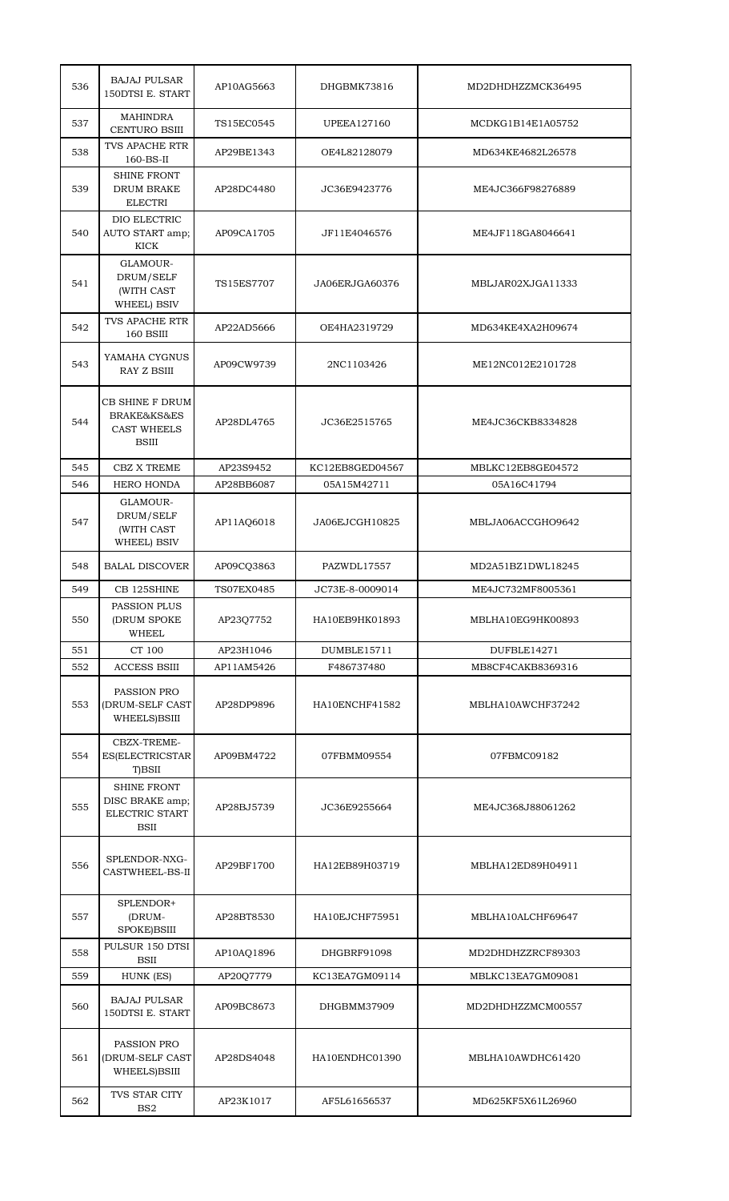| 536 | <b>BAJAJ PULSAR</b><br>150DTSI E. START                                | AP10AG5663 | DHGBMK73816     | MD2DHDHZZMCK36495 |
|-----|------------------------------------------------------------------------|------------|-----------------|-------------------|
| 537 | <b>MAHINDRA</b><br><b>CENTURO BSIII</b>                                | TS15EC0545 | UPEEA127160     | MCDKG1B14E1A05752 |
| 538 | TVS APACHE RTR<br>$160$ -BS-II                                         | AP29BE1343 | OE4L82128079    | MD634KE4682L26578 |
| 539 | <b>SHINE FRONT</b><br>DRUM BRAKE<br><b>ELECTRI</b>                     | AP28DC4480 | JC36E9423776    | ME4JC366F98276889 |
| 540 | DIO ELECTRIC<br>AUTO START amp;<br>KICK                                | AP09CA1705 | JF11E4046576    | ME4JF118GA8046641 |
| 541 | GLAMOUR-<br>DRUM/SELF<br>(WITH CAST<br>WHEEL) BSIV                     | TS15ES7707 | JA06ERJGA60376  | MBLJAR02XJGA11333 |
| 542 | <b>TVS APACHE RTR</b><br>160 BSIII                                     | AP22AD5666 | OE4HA2319729    | MD634KE4XA2H09674 |
| 543 | YAMAHA CYGNUS<br>RAY Z BSIII                                           | AP09CW9739 | 2NC1103426      | ME12NC012E2101728 |
| 544 | CB SHINE F DRUM<br>BRAKE&KS&ES<br><b>CAST WHEELS</b><br><b>BSIII</b>   | AP28DL4765 | JC36E2515765    | ME4JC36CKB8334828 |
| 545 | <b>CBZ X TREME</b>                                                     | AP23S9452  | KC12EB8GED04567 | MBLKC12EB8GE04572 |
| 546 | <b>HERO HONDA</b>                                                      | AP28BB6087 | 05A15M42711     | 05A16C41794       |
| 547 | GLAMOUR-<br>DRUM/SELF<br>(WITH CAST<br>WHEEL) BSIV                     | AP11AQ6018 | JA06EJCGH10825  | MBLJA06ACCGHO9642 |
| 548 | <b>BALAL DISCOVER</b>                                                  | AP09CQ3863 | PAZWDL17557     | MD2A51BZ1DWL18245 |
| 549 | CB 125SHINE                                                            | TS07EX0485 | JC73E-8-0009014 | ME4JC732MF8005361 |
| 550 | PASSION PLUS<br>(DRUM SPOKE<br><b>WHEEL</b>                            | AP23Q7752  | HA10EB9HK01893  | MBLHA10EG9HK00893 |
| 551 | CT 100                                                                 | AP23H1046  | DUMBLE15711     | DUFBLE14271       |
| 552 | <b>ACCESS BSIII</b>                                                    | AP11AM5426 | F486737480      | MB8CF4CAKB8369316 |
| 553 | PASSION PRO<br>(DRUM-SELF CAST<br>WHEELS)BSIII                         | AP28DP9896 | HA10ENCHF41582  | MBLHA10AWCHF37242 |
| 554 | CBZX-TREME-<br>ES(ELECTRICSTAR<br>T)BSII                               | AP09BM4722 | 07FBMM09554     | 07FBMC09182       |
| 555 | <b>SHINE FRONT</b><br>DISC BRAKE amp;<br>ELECTRIC START<br><b>BSII</b> | AP28BJ5739 | JC36E9255664    | ME4JC368J88061262 |
| 556 | SPLENDOR-NXG-<br><b>CASTWHEEL-BS-II</b>                                | AP29BF1700 | HA12EB89H03719  | MBLHA12ED89H04911 |
| 557 | SPLENDOR+<br>(DRUM-<br>SPOKE)BSIII                                     | AP28BT8530 | HA10EJCHF75951  | MBLHA10ALCHF69647 |
| 558 | PULSUR 150 DTSI<br><b>BSII</b>                                         | AP10AQ1896 | DHGBRF91098     | MD2DHDHZZRCF89303 |
| 559 | HUNK (ES)                                                              | AP20Q7779  | KC13EA7GM09114  | MBLKC13EA7GM09081 |
| 560 | <b>BAJAJ PULSAR</b><br>150DTSI E. START                                | AP09BC8673 | DHGBMM37909     | MD2DHDHZZMCM00557 |
| 561 | PASSION PRO<br>(DRUM-SELF CAST<br>WHEELS)BSIII                         | AP28DS4048 | HA10ENDHC01390  | MBLHA10AWDHC61420 |
| 562 | TVS STAR CITY<br>BS <sub>2</sub>                                       | AP23K1017  | AF5L61656537    | MD625KF5X61L26960 |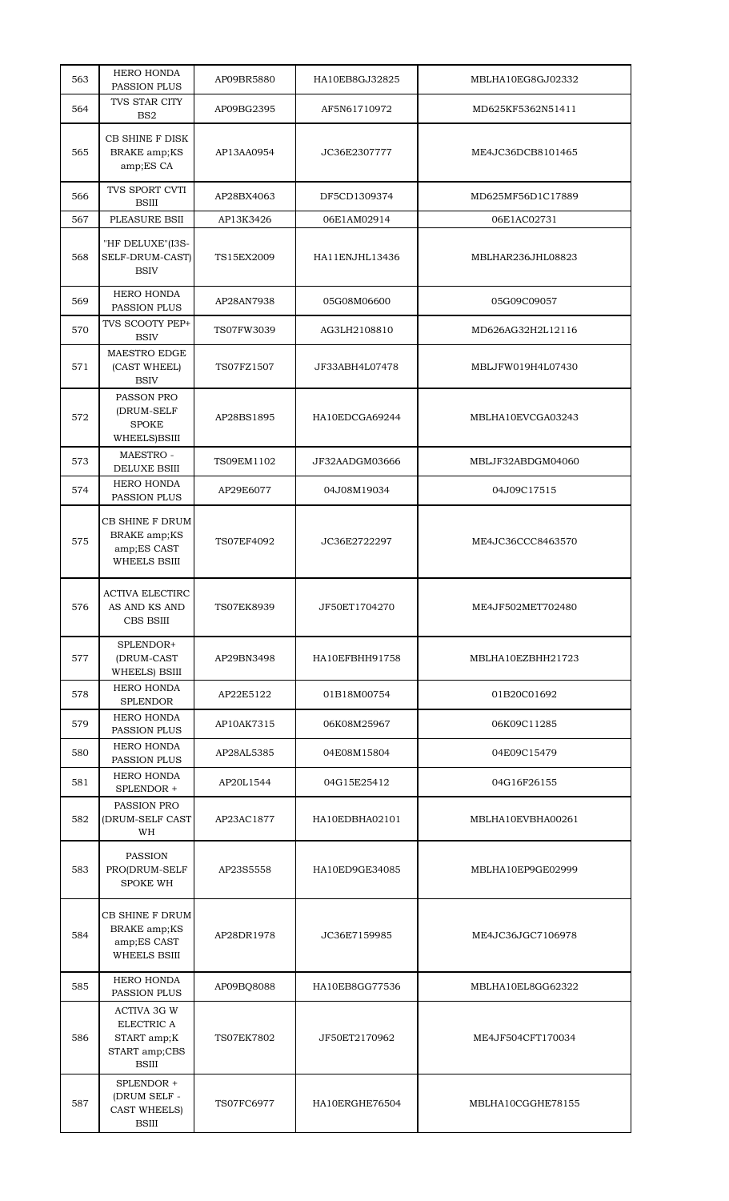| 563 | <b>HERO HONDA</b><br>PASSION PLUS                                                | AP09BR5880        | HA10EB8GJ32825 | MBLHA10EG8GJ02332 |
|-----|----------------------------------------------------------------------------------|-------------------|----------------|-------------------|
| 564 | TVS STAR CITY<br>BS <sub>2</sub>                                                 | AP09BG2395        | AF5N61710972   | MD625KF5362N51411 |
| 565 | <b>CB SHINE F DISK</b><br>BRAKE amp;KS<br>amp;ES CA                              | AP13AA0954        | JC36E2307777   | ME4JC36DCB8101465 |
| 566 | TVS SPORT CVTI<br><b>BSIII</b>                                                   | AP28BX4063        | DF5CD1309374   | MD625MF56D1C17889 |
| 567 | PLEASURE BSII                                                                    | AP13K3426         | 06E1AM02914    | 06E1AC02731       |
| 568 | "HF DELUXE"(I3S-<br>SELF-DRUM-CAST)<br><b>BSIV</b>                               | TS15EX2009        | HA11ENJHL13436 | MBLHAR236JHL08823 |
| 569 | HERO HONDA<br>PASSION PLUS                                                       | AP28AN7938        | 05G08M06600    | 05G09C09057       |
| 570 | TVS SCOOTY PEP+<br><b>BSIV</b>                                                   | TS07FW3039        | AG3LH2108810   | MD626AG32H2L12116 |
| 571 | MAESTRO EDGE<br>(CAST WHEEL)<br><b>BSIV</b>                                      | TS07FZ1507        | JF33ABH4L07478 | MBLJFW019H4L07430 |
| 572 | PASSON PRO<br>(DRUM-SELF<br><b>SPOKE</b><br>WHEELS)BSIII                         | AP28BS1895        | HA10EDCGA69244 | MBLHA10EVCGA03243 |
| 573 | MAESTRO -<br><b>DELUXE BSIII</b>                                                 | TS09EM1102        | JF32AADGM03666 | MBLJF32ABDGM04060 |
| 574 | <b>HERO HONDA</b><br>PASSION PLUS                                                | AP29E6077         | 04J08M19034    | 04J09C17515       |
| 575 | CB SHINE F DRUM<br>BRAKE amp;KS<br>amp;ES CAST<br><b>WHEELS BSIII</b>            | TS07EF4092        | JC36E2722297   | ME4JC36CCC8463570 |
| 576 | <b>ACTIVA ELECTIRC</b><br>AS AND KS AND<br>CBS BSIII                             | TS07EK8939        | JF50ET1704270  | ME4JF502MET702480 |
| 577 | SPLENDOR+<br>(DRUM-CAST<br>WHEELS) BSIII                                         | AP29BN3498        | HA10EFBHH91758 | MBLHA10EZBHH21723 |
| 578 | <b>HERO HONDA</b><br><b>SPLENDOR</b>                                             | AP22E5122         | 01B18M00754    | 01B20C01692       |
| 579 | <b>HERO HONDA</b><br>PASSION PLUS                                                | AP10AK7315        | 06K08M25967    | 06K09C11285       |
| 580 | <b>HERO HONDA</b><br>PASSION PLUS                                                | AP28AL5385        | 04E08M15804    | 04E09C15479       |
| 581 | HERO HONDA<br>SPLENDOR +                                                         | AP20L1544         | 04G15E25412    | 04G16F26155       |
| 582 | PASSION PRO<br>(DRUM-SELF CAST<br>WH                                             | AP23AC1877        | HA10EDBHA02101 | MBLHA10EVBHA00261 |
| 583 | <b>PASSION</b><br>PRO(DRUM-SELF<br><b>SPOKE WH</b>                               | AP23S5558         | HA10ED9GE34085 | MBLHA10EP9GE02999 |
| 584 | CB SHINE F DRUM<br>BRAKE amp;KS<br>amp;ES CAST<br><b>WHEELS BSIII</b>            | AP28DR1978        | JC36E7159985   | ME4JC36JGC7106978 |
| 585 | <b>HERO HONDA</b><br>PASSION PLUS                                                | AP09BQ8088        | HA10EB8GG77536 | MBLHA10EL8GG62322 |
| 586 | <b>ACTIVA 3G W</b><br>ELECTRIC A<br>START amp;K<br>START amp;CBS<br><b>BSIII</b> | <b>TS07EK7802</b> | JF50ET2170962  | ME4JF504CFT170034 |
| 587 | SPLENDOR +<br>(DRUM SELF -<br>CAST WHEELS)<br><b>BSIII</b>                       | TS07FC6977        | HA10ERGHE76504 | MBLHA10CGGHE78155 |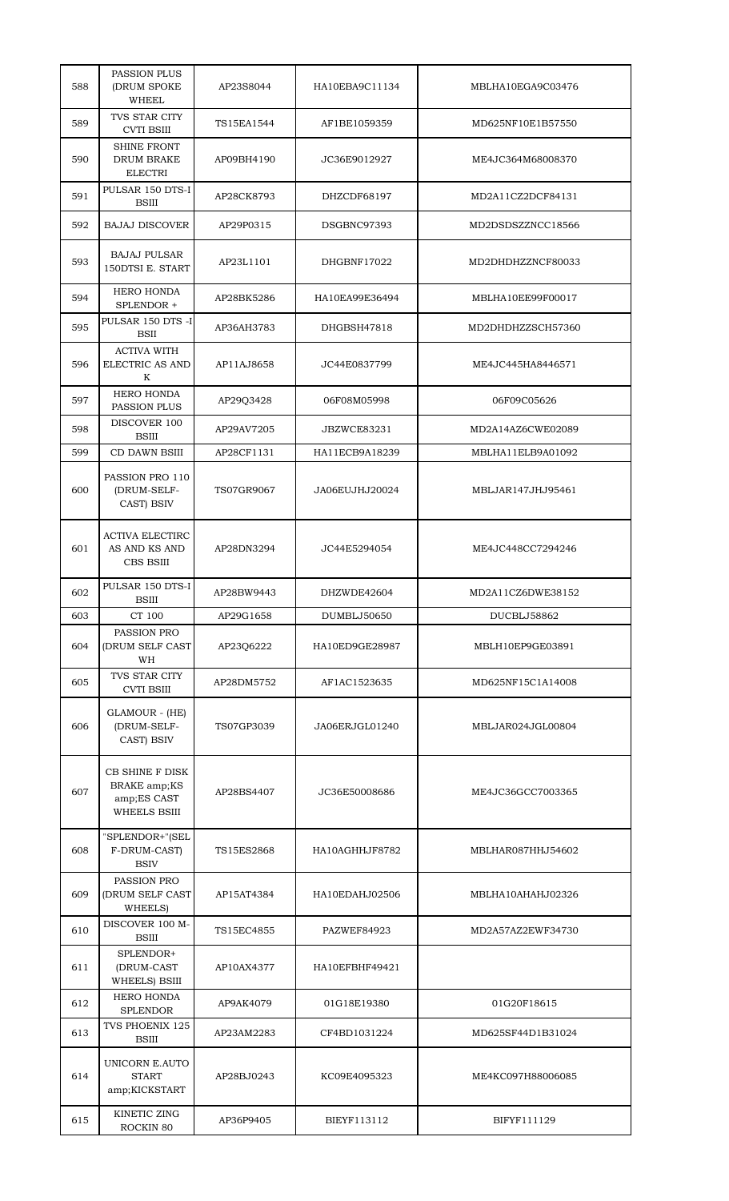| 588 | <b>PASSION PLUS</b><br><b>(DRUM SPOKE</b><br>WHEEL     | AP23S8044  | HA10EBA9C11134 | MBLHA10EGA9C03476 |
|-----|--------------------------------------------------------|------------|----------------|-------------------|
| 589 | TVS STAR CITY<br><b>CVTI BSIII</b>                     | TS15EA1544 | AF1BE1059359   | MD625NF10E1B57550 |
| 590 | <b>SHINE FRONT</b><br>DRUM BRAKE<br><b>ELECTRI</b>     | AP09BH4190 | JC36E9012927   | ME4JC364M68008370 |
| 591 | PULSAR 150 DTS-I<br><b>BSIII</b>                       | AP28CK8793 | DHZCDF68197    | MD2A11CZ2DCF84131 |
| 592 | <b>BAJAJ DISCOVER</b>                                  | AP29P0315  | DSGBNC97393    | MD2DSDSZZNCC18566 |
| 593 | <b>BAJAJ PULSAR</b><br>150DTSI E. START                | AP23L1101  | DHGBNF17022    | MD2DHDHZZNCF80033 |
| 594 | HERO HONDA<br>SPLENDOR +                               | AP28BK5286 | HA10EA99E36494 | MBLHA10EE99F00017 |
| 595 | PULSAR 150 DTS -I<br><b>BSII</b>                       | AP36AH3783 | DHGBSH47818    | MD2DHDHZZSCH57360 |
| 596 | <b>ACTIVA WITH</b><br>ELECTRIC AS AND<br>K             | AP11AJ8658 | JC44E0837799   | ME4JC445HA8446571 |
| 597 | HERO HONDA<br>PASSION PLUS                             | AP29Q3428  | 06F08M05998    | 06F09C05626       |
| 598 | DISCOVER 100<br><b>BSIII</b>                           | AP29AV7205 | JBZWCE83231    | MD2A14AZ6CWE02089 |
| 599 | CD DAWN BSIII                                          | AP28CF1131 | HA11ECB9A18239 | MBLHA11ELB9A01092 |
| 600 | PASSION PRO 110<br>(DRUM-SELF-<br>CAST) BSIV           | TS07GR9067 | JA06EUJHJ20024 | MBLJAR147JHJ95461 |
| 601 | <b>ACTIVA ELECTIRC</b><br>AS AND KS AND<br>CBS BSIII   | AP28DN3294 | JC44E5294054   | ME4JC448CC7294246 |
| 602 | PULSAR 150 DTS-I<br>BSIII                              | AP28BW9443 | DHZWDE42604    | MD2A11CZ6DWE38152 |
| 603 | CT 100                                                 | AP29G1658  | DUMBLJ50650    | DUCBLJ58862       |
| 604 | PASSION PRO<br><b>(DRUM SELF CAST</b><br>WH            | AP23Q6222  | HA10ED9GE28987 | MBLH10EP9GE03891  |
| 605 | TVS STAR CITY<br><b>CVTI BSIII</b>                     | AP28DM5752 | AF1AC1523635   | MD625NF15C1A14008 |
| 606 | GLAMOUR - (HE)<br>(DRUM-SELF-<br>CAST) BSIV            | TS07GP3039 | JA06ERJGL01240 | MBLJAR024JGL00804 |
| 607 | CB SHINE F DISK<br>BRAKE amp;KS                        |            |                |                   |
|     | amp;ES CAST<br><b>WHEELS BSIII</b>                     | AP28BS4407 | JC36E50008686  | ME4JC36GCC7003365 |
| 608 | "SPLENDOR+"(SEL<br>F-DRUM-CAST)<br><b>BSIV</b>         | TS15ES2868 | HA10AGHHJF8782 | MBLHAR087HHJ54602 |
| 609 | PASSION PRO<br>(DRUM SELF CAST<br>WHEELS)              | AP15AT4384 | HA10EDAHJ02506 | MBLHA10AHAHJ02326 |
| 610 | DISCOVER 100 M-<br><b>BSIII</b>                        | TS15EC4855 | PAZWEF84923    | MD2A57AZ2EWF34730 |
| 611 | SPLENDOR+<br>(DRUM-CAST<br>WHEELS) BSIII               | AP10AX4377 | HA10EFBHF49421 |                   |
| 612 | <b>HERO HONDA</b><br><b>SPLENDOR</b>                   | AP9AK4079  | 01G18E19380    | 01G20F18615       |
| 613 | TVS PHOENIX 125<br><b>BSIII</b>                        | AP23AM2283 | CF4BD1031224   | MD625SF44D1B31024 |
| 614 | <b>UNICORN E.AUTO</b><br><b>START</b><br>amp;KICKSTART | AP28BJ0243 | KC09E4095323   | ME4KC097H88006085 |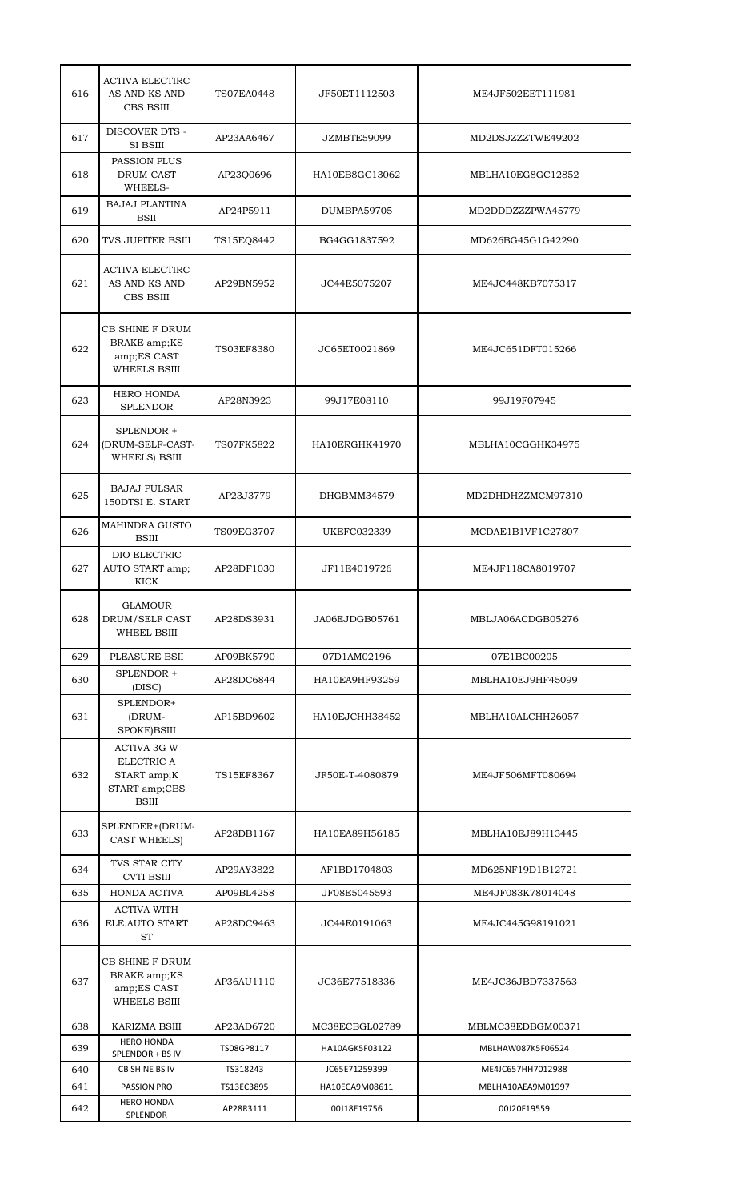| 616 | <b>ACTIVA ELECTIRC</b><br>AS AND KS AND<br>CBS BSIII                             | <b>TS07EA0448</b> | JF50ET1112503   | ME4JF502EET111981 |
|-----|----------------------------------------------------------------------------------|-------------------|-----------------|-------------------|
| 617 | <b>DISCOVER DTS -</b><br><b>SI BSIII</b>                                         | AP23AA6467        | JZMBTE59099     | MD2DSJZZZTWE49202 |
| 618 | PASSION PLUS<br>DRUM CAST<br>WHEELS-                                             | AP23Q0696         | HA10EB8GC13062  | MBLHA10EG8GC12852 |
| 619 | <b>BAJAJ PLANTINA</b><br><b>BSII</b>                                             | AP24P5911         | DUMBPA59705     | MD2DDDZZZPWA45779 |
| 620 | TVS JUPITER BSIII                                                                | TS15EQ8442        | BG4GG1837592    | MD626BG45G1G42290 |
| 621 | <b>ACTIVA ELECTIRC</b><br>AS AND KS AND<br>CBS BSIII                             | AP29BN5952        | JC44E5075207    | ME4JC448KB7075317 |
| 622 | CB SHINE F DRUM<br>BRAKE amp;KS<br>amp;ES CAST<br><b>WHEELS BSIII</b>            | <b>TS03EF8380</b> | JC65ET0021869   | ME4JC651DFT015266 |
| 623 | <b>HERO HONDA</b><br><b>SPLENDOR</b>                                             | AP28N3923         | 99J17E08110     | 99J19F07945       |
| 624 | SPLENDOR +<br>(DRUM-SELF-CAST-<br>WHEELS) BSIII                                  | TS07FK5822        | HA10ERGHK41970  | MBLHA10CGGHK34975 |
| 625 | <b>BAJAJ PULSAR</b><br>150DTSI E. START                                          | AP23J3779         | DHGBMM34579     | MD2DHDHZZMCM97310 |
| 626 | <b>MAHINDRA GUSTO</b><br><b>BSIII</b>                                            | TS09EG3707        | UKEFC032339     | MCDAE1B1VF1C27807 |
| 627 | DIO ELECTRIC<br>AUTO START amp;<br><b>KICK</b>                                   | AP28DF1030        | JF11E4019726    | ME4JF118CA8019707 |
| 628 | <b>GLAMOUR</b><br>DRUM/SELF CAST<br><b>WHEEL BSIII</b>                           | AP28DS3931        | JA06EJDGB05761  | MBLJA06ACDGB05276 |
| 629 | PLEASURE BSII                                                                    | AP09BK5790        | 07D1AM02196     | 07E1BC00205       |
| 630 | SPLENDOR +<br>(DISC)                                                             | AP28DC6844        | HA10EA9HF93259  | MBLHA10EJ9HF45099 |
| 631 | SPLENDOR+<br>(DRUM-<br>SPOKE)BSIII                                               | AP15BD9602        | HA10EJCHH38452  | MBLHA10ALCHH26057 |
| 632 | <b>ACTIVA 3G W</b><br>ELECTRIC A<br>START amp;K<br>START amp;CBS<br><b>BSIII</b> | TS15EF8367        | JF50E-T-4080879 | ME4JF506MFT080694 |
| 633 | SPLENDER+(DRUM-<br><b>CAST WHEELS)</b>                                           | AP28DB1167        | HA10EA89H56185  | MBLHA10EJ89H13445 |
| 634 | TVS STAR CITY<br><b>CVTI BSIII</b>                                               | AP29AY3822        | AF1BD1704803    | MD625NF19D1B12721 |
| 635 | HONDA ACTIVA                                                                     | AP09BL4258        | JF08E5045593    | ME4JF083K78014048 |
| 636 | <b>ACTIVA WITH</b><br>ELE.AUTO START<br><b>ST</b>                                | AP28DC9463        | JC44E0191063    | ME4JC445G98191021 |
| 637 | CB SHINE F DRUM<br>BRAKE amp;KS<br>amp;ES CAST<br><b>WHEELS BSIII</b>            | AP36AU1110        | JC36E77518336   | ME4JC36JBD7337563 |
| 638 | KARIZMA BSIII                                                                    | AP23AD6720        | MC38ECBGL02789  | MBLMC38EDBGM00371 |
| 639 | <b>HERO HONDA</b><br>SPLENDOR + BS IV                                            | TS08GP8117        | HA10AGK5F03122  | MBLHAW087K5F06524 |
| 640 | <b>CB SHINE BS IV</b>                                                            | TS318243          | JC65E71259399   | ME4JC657HH7012988 |
| 641 | PASSION PRO<br><b>HERO HONDA</b>                                                 | TS13EC3895        | HA10ECA9M08611  | MBLHA10AEA9M01997 |
| 642 | SPLENDOR                                                                         | AP28R3111         | 00J18E19756     | 00J20F19559       |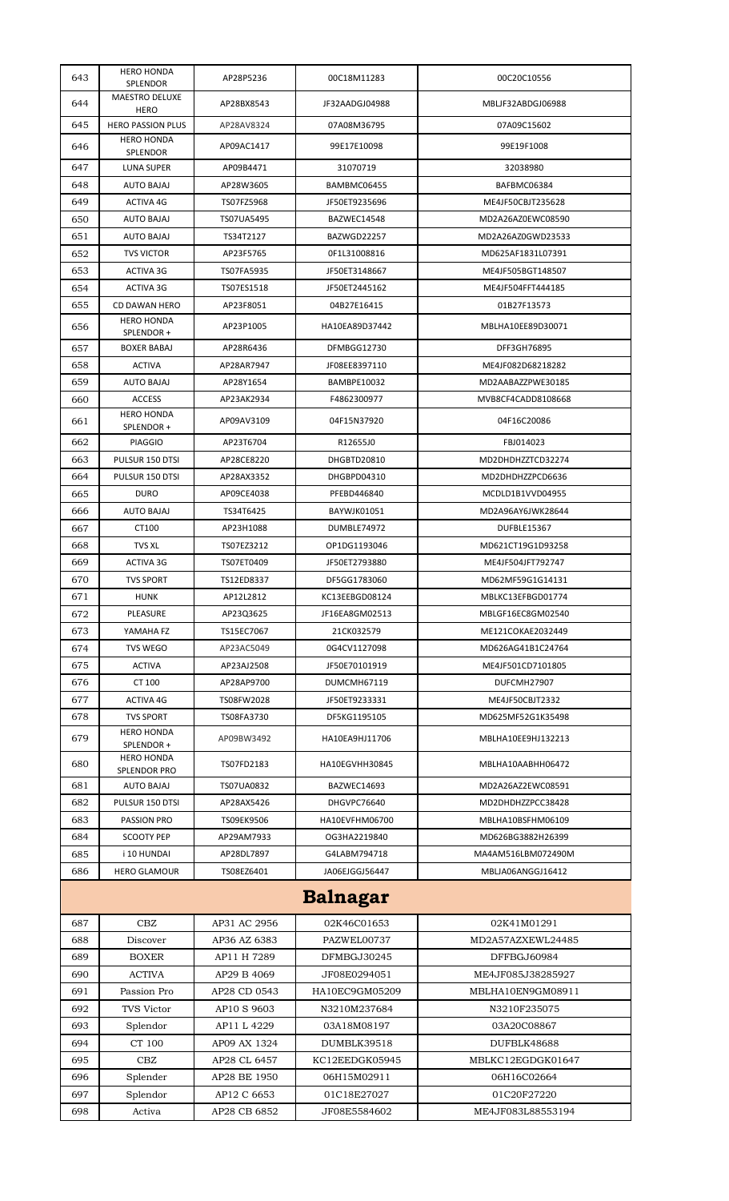| 643             | <b>HERO HONDA</b><br><b>SPLENDOR</b>     | AP28P5236    | 00C18M11283    | 00C20C10556        |  |
|-----------------|------------------------------------------|--------------|----------------|--------------------|--|
| 644             | <b>MAESTRO DELUXE</b><br>HERO            | AP28BX8543   | JF32AADGJ04988 | MBLJF32ABDGJ06988  |  |
| 645             | <b>HERO PASSION PLUS</b>                 | AP28AV8324   | 07A08M36795    | 07A09C15602        |  |
| 646             | <b>HERO HONDA</b><br>SPLENDOR            | AP09AC1417   | 99E17E10098    | 99E19F1008         |  |
| 647             | <b>LUNA SUPER</b>                        | AP09B4471    | 31070719       | 32038980           |  |
| 648             | <b>AUTO BAJAJ</b>                        | AP28W3605    | BAMBMC06455    | BAFBMC06384        |  |
| 649             | <b>ACTIVA 4G</b>                         | TS07FZ5968   | JF50ET9235696  | ME4JF50CBJT235628  |  |
| 650             | <b>AUTO BAJAJ</b>                        | TS07UA5495   | BAZWEC14548    | MD2A26AZ0EWC08590  |  |
| 651             | <b>AUTO BAJAJ</b>                        | TS34T2127    | BAZWGD22257    | MD2A26AZ0GWD23533  |  |
| 652             | <b>TVS VICTOR</b>                        | AP23F5765    | 0F1L31008816   | MD625AF1831L07391  |  |
| 653             | ACTIVA 3G                                | TS07FA5935   | JF50ET3148667  | ME4JF505BGT148507  |  |
| 654             | ACTIVA 3G                                | TS07ES1518   | JF50ET2445162  | ME4JF504FFT444185  |  |
| 655             | <b>CD DAWAN HERO</b>                     | AP23F8051    | 04B27E16415    | 01B27F13573        |  |
| 656             | <b>HERO HONDA</b><br>SPLENDOR +          | AP23P1005    | HA10EA89D37442 | MBLHA10EE89D30071  |  |
| 657             | <b>BOXER BABAJ</b>                       | AP28R6436    | DFMBGG12730    | DFF3GH76895        |  |
| 658             | <b>ACTIVA</b>                            | AP28AR7947   | JF08EE8397110  | ME4JF082D68218282  |  |
| 659             | <b>AUTO BAJAJ</b>                        | AP28Y1654    | BAMBPE10032    | MD2AABAZZPWE30185  |  |
| 660             | <b>ACCESS</b>                            | AP23AK2934   | F4862300977    | MVB8CF4CADD8108668 |  |
| 661             | <b>HERO HONDA</b><br>SPLENDOR +          | AP09AV3109   | 04F15N37920    | 04F16C20086        |  |
| 662             | <b>PIAGGIO</b>                           | AP23T6704    | R12655J0       | FBJ014023          |  |
| 663             | PULSUR 150 DTSI                          | AP28CE8220   | DHGBTD20810    | MD2DHDHZZTCD32274  |  |
| 664             | PULSUR 150 DTSI                          | AP28AX3352   | DHGBPD04310    | MD2DHDHZZPCD6636   |  |
| 665             | <b>DURO</b>                              | AP09CE4038   | PFEBD446840    | MCDLD1B1VVD04955   |  |
| 666             | <b>AUTO BAJAJ</b>                        | TS34T6425    | BAYWJK01051    | MD2A96AY6JWK28644  |  |
| 667             | CT100                                    | AP23H1088    | DUMBLE74972    | DUFBLE15367        |  |
| 668             | <b>TVS XL</b>                            | TS07EZ3212   | OP1DG1193046   | MD621CT19G1D93258  |  |
| 669             | ACTIVA 3G                                | TS07ET0409   | JF50ET2793880  | ME4JF504JFT792747  |  |
| 670             | <b>TVS SPORT</b>                         | TS12ED8337   | DF5GG1783060   | MD62MF59G1G14131   |  |
| 671             | <b>HUNK</b>                              | AP12L2812    | KC13EEBGD08124 | MBLKC13EFBGD01774  |  |
| 672             | PLEASURE                                 | AP23Q3625    | JF16EA8GM02513 | MBLGF16EC8GM02540  |  |
| 673             | YAMAHA FZ                                | TS15EC7067   | 21CK032579     | ME121COKAE2032449  |  |
| 674             | <b>TVS WEGO</b>                          | AP23AC5049   | 0G4CV1127098   | MD626AG41B1C24764  |  |
| 675             | <b>ACTIVA</b>                            | AP23AJ2508   | JF50E70101919  | ME4JF501CD7101805  |  |
| 676             | CT 100                                   | AP28AP9700   | DUMCMH67119    | DUFCMH27907        |  |
| 677             | <b>ACTIVA 4G</b>                         | TS08FW2028   | JF50ET9233331  | ME4JF50CBJT2332    |  |
| 678             | <b>TVS SPORT</b>                         | TS08FA3730   | DF5KG1195105   | MD625MF52G1K35498  |  |
| 679             | <b>HERO HONDA</b><br>SPLENDOR +          | AP09BW3492   | HA10EA9HJ11706 | MBLHA10EE9HJ132213 |  |
| 680             | <b>HERO HONDA</b><br><b>SPLENDOR PRO</b> | TS07FD2183   | HA10EGVHH30845 | MBLHA10AABHH06472  |  |
| 681             | <b>AUTO BAJAJ</b>                        | TS07UA0832   | BAZWEC14693    | MD2A26AZ2EWC08591  |  |
| 682             | PULSUR 150 DTSI                          | AP28AX5426   | DHGVPC76640    | MD2DHDHZZPCC38428  |  |
| 683             | PASSION PRO                              | TS09EK9506   | HA10EVFHM06700 | MBLHA10BSFHM06109  |  |
| 684             | <b>SCOOTY PEP</b>                        | AP29AM7933   | OG3HA2219840   | MD626BG3882H26399  |  |
| 685             | i 10 HUNDAI                              | AP28DL7897   | G4LABM794718   | MA4AM516LBM072490M |  |
| 686             | <b>HERO GLAMOUR</b>                      | TS08EZ6401   | JA06EJGGJ56447 | MBLJA06ANGGJ16412  |  |
| <b>Balnagar</b> |                                          |              |                |                    |  |
| 687             | CBZ                                      | AP31 AC 2956 | 02K46C01653    | 02K41M01291        |  |
| 688             | Discover                                 | AP36 AZ 6383 | PAZWEL00737    | MD2A57AZXEWL24485  |  |
| 689             | <b>BOXER</b>                             | AP11 H 7289  | DFMBGJ30245    | DFFBGJ60984        |  |
| 690             | <b>ACTIVA</b>                            | AP29 B 4069  | JF08E0294051   | ME4JF085J38285927  |  |
| 691             | Passion Pro                              | AP28 CD 0543 | HA10EC9GM05209 | MBLHA10EN9GM08911  |  |
| 692             | TVS Victor                               | AP10 S 9603  | N3210M237684   | N3210F235075       |  |
| 693             | Splendor                                 | AP11 L 4229  | 03A18M08197    | 03A20C08867        |  |
| 694             | CT 100                                   | AP09 AX 1324 | DUMBLK39518    | DUFBLK48688        |  |
| 695             | CBZ                                      | AP28 CL 6457 | KC12EEDGK05945 | MBLKC12EGDGK01647  |  |
| 696             | Splender                                 | AP28 BE 1950 | 06H15M02911    | 06H16C02664        |  |
| 697             | Splendor                                 | AP12 C 6653  | 01C18E27027    | 01C20F27220        |  |
| 698             | Activa                                   | AP28 CB 6852 | JF08E5584602   | ME4JF083L88553194  |  |
|                 |                                          |              |                |                    |  |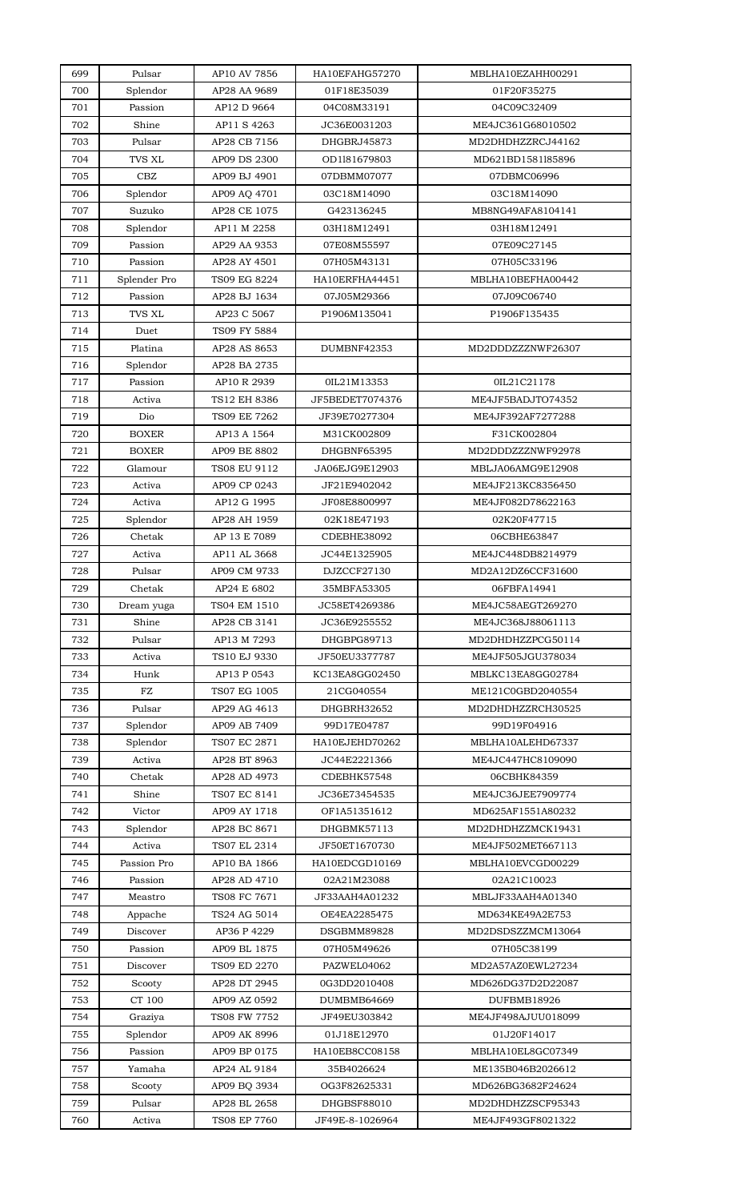| 699 | Pulsar           | AP10 AV 7856 | HA10EFAHG57270  | MBLHA10EZAHH00291  |
|-----|------------------|--------------|-----------------|--------------------|
| 700 | Splendor         | AP28 AA 9689 | 01F18E35039     | 01F20F35275        |
| 701 | Passion          | AP12 D 9664  | 04C08M33191     | 04C09C32409        |
| 702 | Shine            | AP11 S 4263  | JC36E0031203    | ME4JC361G68010502  |
| 703 | Pulsar           | AP28 CB 7156 | DHGBRJ45873     | MD2DHDHZZRCJ44162  |
| 704 | TVS XL           | AP09 DS 2300 | OD1181679803    | MD621BD1581185896  |
| 705 | CBZ              | AP09 BJ 4901 | 07DBMM07077     | 07DBMC06996        |
| 706 | Splendor         | AP09 AQ 4701 | 03C18M14090     | 03C18M14090        |
| 707 | Suzuko           | AP28 CE 1075 | G423136245      | MB8NG49AFA8104141  |
| 708 | Splendor         | AP11 M 2258  | 03H18M12491     | 03H18M12491        |
| 709 | Passion          | AP29 AA 9353 | 07E08M55597     | 07E09C27145        |
| 710 | Passion          | AP28 AY 4501 | 07H05M43131     | 07H05C33196        |
| 711 | Splender Pro     | TS09 EG 8224 | HA10ERFHA44451  | MBLHA10BEFHA00442  |
| 712 | Passion          | AP28 BJ 1634 | 07J05M29366     | 07J09C06740        |
| 713 | <b>TVS XL</b>    | AP23 C 5067  | P1906M135041    | P1906F135435       |
| 714 | Duet             | TS09 FY 5884 |                 |                    |
| 715 | Platina          | AP28 AS 8653 | DUMBNF42353     | MD2DDDZZZNWF26307  |
| 716 | Splendor         | AP28 BA 2735 |                 |                    |
|     |                  |              |                 |                    |
| 717 | Passion          | AP10 R 2939  | 0IL21M13353     | 0IL21C21178        |
| 718 | Activa           | TS12 EH 8386 | JF5BEDET7074376 | ME4JF5BADJTO74352  |
| 719 | Dio              | TS09 EE 7262 | JF39E70277304   | ME4JF392AF7277288  |
| 720 | <b>BOXER</b>     | AP13 A 1564  | M31CK002809     | F31CK002804        |
| 721 | <b>BOXER</b>     | AP09 BE 8802 | DHGBNF65395     | MD2DDDZZZNWF92978  |
| 722 | Glamour          | TS08 EU 9112 | JA06EJG9E12903  | MBLJA06AMG9E12908  |
| 723 | Activa           | AP09 CP 0243 | JF21E9402042    | ME4JF213KC8356450  |
| 724 | Activa           | AP12 G 1995  | JF08E8800997    | ME4JF082D78622163  |
| 725 | Splendor         | AP28 AH 1959 | 02K18E47193     | 02K20F47715        |
| 726 | Chetak           | AP 13 E 7089 | CDEBHE38092     | 06CBHE63847        |
| 727 | Activa           | AP11 AL 3668 | JC44E1325905    | ME4JC448DB8214979  |
| 728 | Pulsar           | AP09 CM 9733 | DJZCCF27130     | MD2A12DZ6CCF31600  |
| 729 | Chetak           | AP24 E 6802  | 35MBFA53305     | 06FBFA14941        |
| 730 | Dream yuga       | TS04 EM 1510 | JC58ET4269386   | ME4JC58AEGT269270  |
| 731 | Shine            | AP28 CB 3141 | JC36E9255552    | ME4JC368J88061113  |
| 732 | Pulsar           | AP13 M 7293  | DHGBPG89713     | MD2DHDHZZPCG50114  |
| 733 | Activa           | TS10 EJ 9330 | JF50EU3377787   | ME4JF505JGU378034  |
| 734 | ${\tt Hunk}$     | AP13 P 0543  | KC13EA8GG02450  | MBLKC13EA8GG02784  |
| 735 | FZ               | TS07 EG 1005 | 21CG040554      | ME121C0GBD2040554  |
| 736 | Pulsar           | AP29 AG 4613 | DHGBRH32652     | MD2DHDHZZRCH30525  |
| 737 | Splendor         | AP09 AB 7409 | 99D17E04787     | 99D19F04916        |
| 738 | Splendor         | TS07 EC 2871 | HA10EJEHD70262  | MBLHA10ALEHD67337  |
| 739 | Activa           | AP28 BT 8963 | JC44E2221366    | ME4JC447HC8109090  |
| 740 | Chetak           | AP28 AD 4973 | CDEBHK57548     | 06CBHK84359        |
| 741 | Shine            | TS07 EC 8141 | JC36E73454535   | ME4JC36JEE7909774  |
| 742 | Victor           | AP09 AY 1718 | OF1A51351612    | MD625AF1551A80232  |
| 743 | Splendor         | AP28 BC 8671 | DHGBMK57113     | MD2DHDHZZMCK19431  |
| 744 | Activa           | TS07 EL 2314 | JF50ET1670730   | ME4JF502MET667113  |
| 745 | Passion Pro      | AP10 BA 1866 | HA10EDCGD10169  | MBLHA10EVCGD00229  |
| 746 | Passion          | AP28 AD 4710 | 02A21M23088     | 02A21C10023        |
| 747 | Meastro          | TS08 FC 7671 | JF33AAH4A01232  | MBLJF33AAH4A01340  |
| 748 | Appache          | TS24 AG 5014 | OE4EA2285475    | MD634KE49A2E753    |
| 749 | Discover         | AP36 P 4229  | DSGBMM89828     | MD2DSDSZZMCM13064  |
| 750 | Passion          | AP09 BL 1875 | 07H05M49626     | 07H05C38199        |
| 751 | Discover         | TS09 ED 2270 | PAZWEL04062     | MD2A57AZ0EWL27234  |
| 752 |                  | AP28 DT 2945 | 0G3DD2010408    | MD626DG37D2D22087  |
| 753 | Scooty<br>CT 100 | AP09 AZ 0592 | DUMBMB64669     | DUFBMB18926        |
|     |                  |              |                 |                    |
| 754 | Graziya          | TS08 FW 7752 | JF49EU303842    | ME4JF498AJUU018099 |
| 755 | Splendor         | AP09 AK 8996 | 01J18E12970     | 01J20F14017        |
| 756 | Passion          | AP09 BP 0175 | HA10EB8CC08158  | MBLHA10EL8GC07349  |
| 757 | Yamaha           | AP24 AL 9184 | 35B4026624      | ME135B046B2026612  |
| 758 | Scooty           | AP09 BQ 3934 | OG3F82625331    | MD626BG3682F24624  |
| 759 | Pulsar           | AP28 BL 2658 | DHGBSF88010     | MD2DHDHZZSCF95343  |
| 760 | Activa           | TS08 EP 7760 | JF49E-8-1026964 | ME4JF493GF8021322  |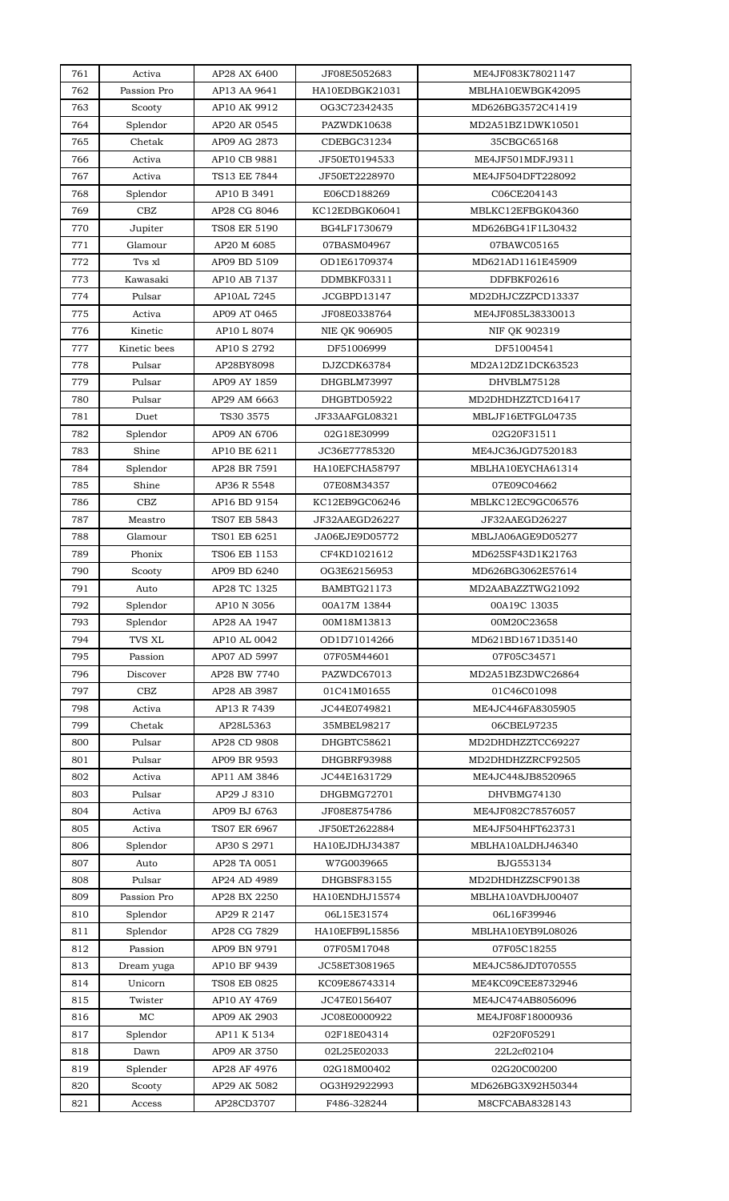| 761        | Activa               | AP28 AX 6400                | JF08E5052683                | ME4JF083K78021147           |
|------------|----------------------|-----------------------------|-----------------------------|-----------------------------|
| 762        | Passion Pro          | AP13 AA 9641                | HA10EDBGK21031              | MBLHA10EWBGK42095           |
| 763        | Scooty               | AP10 AK 9912                | OG3C72342435                | MD626BG3572C41419           |
| 764        | Splendor             | AP20 AR 0545                | PAZWDK10638                 | MD2A51BZ1DWK10501           |
| 765        | Chetak               | AP09 AG 2873                | CDEBGC31234                 | 35CBGC65168                 |
| 766        | Activa               | AP10 CB 9881                | JF50ET0194533               | ME4JF501MDFJ9311            |
| 767        | Activa               | TS13 EE 7844                | JF50ET2228970               | ME4JF504DFT228092           |
| 768        | Splendor             | AP10 B 3491                 | E06CD188269                 | C06CE204143                 |
| 769        | CBZ                  | AP28 CG 8046                | KC12EDBGK06041              | MBLKC12EFBGK04360           |
|            |                      | TS08 ER 5190                |                             | MD626BG41F1L30432           |
| 770        | Jupiter              |                             | BG4LF1730679                |                             |
| 771        | Glamour              | AP20 M 6085                 | 07BASM04967                 | 07BAWC05165                 |
| 772        | Tvs xl               | AP09 BD 5109                | OD1E61709374                | MD621AD1161E45909           |
| 773        | Kawasaki             | AP10 AB 7137                | DDMBKF03311                 | DDFBKF02616                 |
| 774        | Pulsar               | AP10AL 7245                 | JCGBPD13147                 | MD2DHJCZZPCD13337           |
| 775        | Activa               | AP09 AT 0465                | JF08E0338764                | ME4JF085L38330013           |
| 776        | Kinetic              | AP10 L 8074                 | <b>NIE OK 906905</b>        | NIF OK 902319               |
| 777        | Kinetic bees         | AP10 S 2792                 | DF51006999                  | DF51004541                  |
| 778        | Pulsar               | AP28BY8098                  | DJZCDK63784                 | MD2A12DZ1DCK63523           |
| 779        | Pulsar               | AP09 AY 1859                | DHGBLM73997                 | DHVBLM75128                 |
| 780        | Pulsar               | AP29 AM 6663                | DHGBTD05922                 | MD2DHDHZZTCD16417           |
| 781        | Duet                 | TS30 3575                   | JF33AAFGL08321              | MBLJF16ETFGL04735           |
| 782        | Splendor             | AP09 AN 6706                | 02G18E30999                 | 02G20F31511                 |
| 783        | Shine                | AP10 BE 6211                | JC36E77785320               | ME4JC36JGD7520183           |
| 784        | Splendor             | AP28 BR 7591                | HA10EFCHA58797              | MBLHA10EYCHA61314           |
| 785        | Shine                | AP36 R 5548                 | 07E08M34357                 | 07E09C04662                 |
| 786        | CBZ                  | AP16 BD 9154                | KC12EB9GC06246              | MBLKC12EC9GC06576           |
| 787        | Meastro              | TS07 EB 5843                | JF32AAEGD26227              | JF32AAEGD26227              |
| 788        | Glamour              | TS01 EB 6251                | JA06EJE9D05772              | MBLJA06AGE9D05277           |
| 789        | Phonix               | TS06 EB 1153                | CF4KD1021612                | MD625SF43D1K21763           |
| 790        | Scooty               | AP09 BD 6240                | OG3E62156953                | MD626BG3062E57614           |
| 791        | Auto                 | AP28 TC 1325                | BAMBTG21173                 | MD2AABAZZTWG21092           |
|            |                      |                             |                             |                             |
| 792<br>793 | Splendor<br>Splendor | AP10 N 3056<br>AP28 AA 1947 | 00A17M 13844<br>00M18M13813 | 00A19C 13035<br>00M20C23658 |
|            |                      |                             |                             |                             |
| 794        | <b>TVS XL</b>        | AP10 AL 0042                | OD1D71014266                | MD621BD1671D35140           |
| 795        | Passion              | AP07 AD 5997                | 07F05M44601                 | 07F05C34571                 |
| 796        | Discover             | AP28 BW 7740                | PAZWDC67013                 | MD2A51BZ3DWC26864           |
| 797        | CBZ                  | AP28 AB 3987                | 01C41M01655                 | 01C46C01098                 |
| 798        | Activa               | AP13 R 7439                 | JC44E0749821                | ME4JC446FA8305905           |
| 799        | Chetak               | AP28L5363                   | 35MBEL98217                 | 06CBEL97235                 |
| 800        | Pulsar               | AP28 CD 9808                | DHGBTC58621                 | MD2DHDHZZTCC69227           |
| 801        | Pulsar               | AP09 BR 9593                | DHGBRF93988                 | MD2DHDHZZRCF92505           |
| 802        | Activa               | AP11 AM 3846                | JC44E1631729                | ME4JC448JB8520965           |
| 803        | Pulsar               | AP29 J 8310                 | DHGBMG72701                 | DHVBMG74130                 |
| 804        | Activa               | AP09 BJ 6763                | JF08E8754786                | ME4JF082C78576057           |
| 805        | Activa               | TS07 ER 6967                | JF50ET2622884               | ME4JF504HFT623731           |
| 806        | Splendor             | AP30 S 2971                 | HA10EJDHJ34387              | MBLHA10ALDHJ46340           |
| 807        | Auto                 | AP28 TA 0051                | W7G0039665                  | BJG553134                   |
| 808        | Pulsar               | AP24 AD 4989                | DHGBSF83155                 | MD2DHDHZZSCF90138           |
| 809        | Passion Pro          | AP28 BX 2250                | HA10ENDHJ15574              | MBLHA10AVDHJ00407           |
| 810        | Splendor             | AP29 R 2147                 | 06L15E31574                 | 06L16F39946                 |
| 811        | Splendor             | AP28 CG 7829                | HA10EFB9L15856              | MBLHA10EYB9L08026           |
| 812        | Passion              | AP09 BN 9791                | 07F05M17048                 | 07F05C18255                 |
| 813        | Dream yuga           | AP10 BF 9439                | JC58ET3081965               | ME4JC586JDT070555           |
| 814        | Unicorn              | TS08 EB 0825                | KC09E86743314               | ME4KC09CEE8732946           |
| 815        | Twister              | AP10 AY 4769                | JC47E0156407                | ME4JC474AB8056096           |
| 816        | MC                   | AP09 AK 2903                | JC08E0000922                | ME4JF08F18000936            |
| 817        | Splendor             | AP11 K 5134                 | 02F18E04314                 | 02F20F05291                 |
|            |                      |                             | 02L25E02033                 |                             |
| 818        | Dawn                 | AP09 AR 3750                |                             | 22L2cf02104                 |
| 819        | Splender             | AP28 AF 4976                | 02G18M00402                 | 02G20C00200                 |
| 820        | Scooty               | AP29 AK 5082                | OG3H92922993                | MD626BG3X92H50344           |
| 821        | Access               | AP28CD3707                  | F486-328244                 | M8CFCABA8328143             |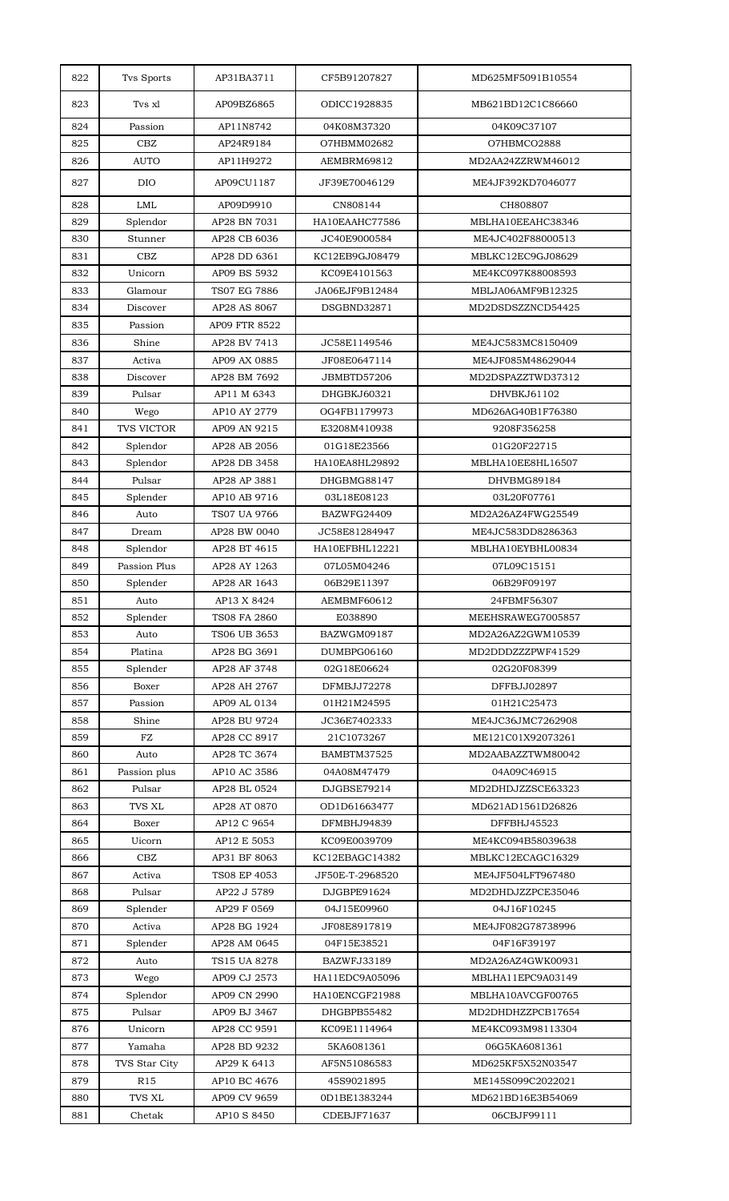| 822 | Tvs Sports        | AP31BA3711    | CF5B91207827    | MD625MF5091B10554 |
|-----|-------------------|---------------|-----------------|-------------------|
| 823 | Tvs xl            | AP09BZ6865    | ODICC1928835    | MB621BD12C1C86660 |
| 824 | Passion           | AP11N8742     | 04K08M37320     | 04K09C37107       |
| 825 | CBZ               | AP24R9184     | O7HBMM02682     | O7HBMCO2888       |
| 826 | <b>AUTO</b>       | AP11H9272     | AEMBRM69812     | MD2AA24ZZRWM46012 |
| 827 | <b>DIO</b>        | AP09CU1187    | JF39E70046129   | ME4JF392KD7046077 |
| 828 | <b>LML</b>        | AP09D9910     | CN808144        | CH808807          |
| 829 | Splendor          | AP28 BN 7031  | HA10EAAHC77586  | MBLHA10EEAHC38346 |
| 830 | Stunner           | AP28 CB 6036  | JC40E9000584    | ME4JC402F88000513 |
| 831 | <b>CBZ</b>        | AP28 DD 6361  | KC12EB9GJ08479  | MBLKC12EC9GJ08629 |
| 832 | Unicorn           | AP09 BS 5932  | KC09E4101563    | ME4KC097K88008593 |
| 833 | Glamour           | TS07 EG 7886  | JA06EJF9B12484  | MBLJA06AMF9B12325 |
| 834 | Discover          | AP28 AS 8067  | DSGBND32871     | MD2DSDSZZNCD54425 |
| 835 | Passion           | AP09 FTR 8522 |                 |                   |
| 836 | Shine             | AP28 BV 7413  | JC58E1149546    | ME4JC583MC8150409 |
| 837 | Activa            | AP09 AX 0885  | JF08E0647114    | ME4JF085M48629044 |
| 838 | Discover          | AP28 BM 7692  | JBMBTD57206     | MD2DSPAZZTWD37312 |
| 839 | Pulsar            | AP11 M 6343   | DHGBKJ60321     | DHVBKJ61102       |
| 840 | Wego              | AP10 AY 2779  | OG4FB1179973    | MD626AG40B1F76380 |
| 841 | <b>TVS VICTOR</b> | AP09 AN 9215  | E3208M410938    | 9208F356258       |
| 842 | Splendor          | AP28 AB 2056  | 01G18E23566     | 01G20F22715       |
| 843 | Splendor          | AP28 DB 3458  | HA10EA8HL29892  | MBLHA10EE8HL16507 |
| 844 | Pulsar            | AP28 AP 3881  | DHGBMG88147     | DHVBMG89184       |
| 845 | Splender          | AP10 AB 9716  | 03L18E08123     | 03L20F07761       |
| 846 | Auto              | TS07 UA 9766  | BAZWFG24409     | MD2A26AZ4FWG25549 |
| 847 | Dream             | AP28 BW 0040  | JC58E81284947   | ME4JC583DD8286363 |
| 848 | Splendor          | AP28 BT 4615  | HA10EFBHL12221  | MBLHA10EYBHL00834 |
| 849 | Passion Plus      | AP28 AY 1263  | 07L05M04246     | 07L09C15151       |
| 850 | Splender          | AP28 AR 1643  | 06B29E11397     | 06B29F09197       |
| 851 | Auto              | AP13 X 8424   | AEMBMF60612     | 24FBMF56307       |
| 852 | Splender          | TS08 FA 2860  | E038890         | MEEHSRAWEG7005857 |
| 853 | Auto              | TS06 UB 3653  | BAZWGM09187     | MD2A26AZ2GWM10539 |
| 854 | Platina           | AP28 BG 3691  | DUMBPG06160     | MD2DDDZZZPWF41529 |
| 855 | Splender          | AP28 AF 3748  | 02G18E06624     | 02G20F08399       |
| 856 | Boxer             | AP28 AH 2767  | DFMBJJ72278     | DFFBJJ02897       |
| 857 | Passion           | AP09 AL 0134  | 01H21M24595     | 01H21C25473       |
| 858 | Shine             | AP28 BU 9724  | JC36E7402333    | ME4JC36JMC7262908 |
| 859 | FZ                | AP28 CC 8917  | 21C1073267      | ME121C01X92073261 |
| 860 | Auto              | AP28 TC 3674  | BAMBTM37525     | MD2AABAZZTWM80042 |
| 861 | Passion plus      | AP10 AC 3586  | 04A08M47479     | 04A09C46915       |
| 862 | Pulsar            | AP28 BL 0524  | DJGBSE79214     | MD2DHDJZZSCE63323 |
| 863 | <b>TVS XL</b>     | AP28 AT 0870  | OD1D61663477    | MD621AD1561D26826 |
| 864 | Boxer             | AP12 C 9654   | DFMBHJ94839     | DFFBHJ45523       |
| 865 | Uicorn            | AP12 E 5053   | KC09E0039709    | ME4KC094B58039638 |
| 866 | CBZ               | AP31 BF 8063  | KC12EBAGC14382  | MBLKC12ECAGC16329 |
| 867 | Activa            | TS08 EP 4053  | JF50E-T-2968520 | ME4JF504LFT967480 |
| 868 | Pulsar            | AP22 J 5789   | DJGBPE91624     | MD2DHDJZZPCE35046 |
| 869 | Splender          | AP29 F 0569   | 04J15E09960     | 04J16F10245       |
| 870 | Activa            | AP28 BG 1924  | JF08E8917819    | ME4JF082G78738996 |
| 871 | Splender          | AP28 AM 0645  | 04F15E38521     | 04F16F39197       |
| 872 | Auto              | TS15 UA 8278  | BAZWFJ33189     | MD2A26AZ4GWK00931 |
| 873 | Wego              | AP09 CJ 2573  | HA11EDC9A05096  | MBLHA11EPC9A03149 |
| 874 | Splendor          | AP09 CN 2990  | HA10ENCGF21988  | MBLHA10AVCGF00765 |
| 875 | Pulsar            | AP09 BJ 3467  | DHGBPB55482     | MD2DHDHZZPCB17654 |
| 876 | Unicorn           | AP28 CC 9591  | KC09E1114964    | ME4KC093M98113304 |
| 877 | Yamaha            | AP28 BD 9232  | 5KA6081361      | 06G5KA6081361     |
| 878 | TVS Star City     | AP29 K 6413   | AF5N51086583    | MD625KF5X52N03547 |
| 879 | R <sub>15</sub>   | AP10 BC 4676  | 45S9021895      | ME145S099C2022021 |
| 880 | TVS XL            | AP09 CV 9659  | 0D1BE1383244    | MD621BD16E3B54069 |
| 881 | Chetak            | AP10 S 8450   | CDEBJF71637     | 06CBJF99111       |